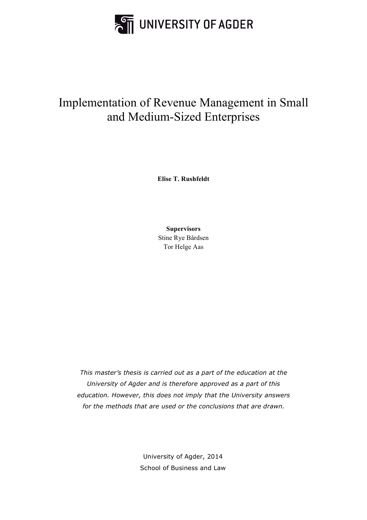

# Implementation of Revenue Management in Small and Medium-Sized Enterprises

**Elise T. Rushfeldt**

**Supervisors** Stine Rye Bårdsen Tor Helge Aas

*This master's thesis is carried out as a part of the education at the University of Agder and is therefore approved as a part of this education. However, this does not imply that the University answers for the methods that are used or the conclusions that are drawn.*

> University of Agder, 2014 School of Business and Law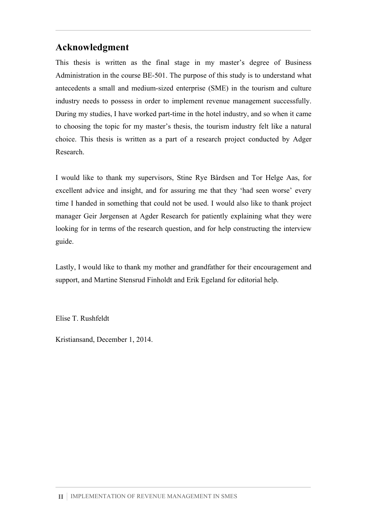# **Acknowledgment**

This thesis is written as the final stage in my master's degree of Business Administration in the course BE-501. The purpose of this study is to understand what antecedents a small and medium-sized enterprise (SME) in the tourism and culture industry needs to possess in order to implement revenue management successfully. During my studies, I have worked part-time in the hotel industry, and so when it came to choosing the topic for my master's thesis, the tourism industry felt like a natural choice. This thesis is written as a part of a research project conducted by Adger Research.

I would like to thank my supervisors, Stine Rye Bårdsen and Tor Helge Aas, for excellent advice and insight, and for assuring me that they 'had seen worse' every time I handed in something that could not be used. I would also like to thank project manager Geir Jørgensen at Agder Research for patiently explaining what they were looking for in terms of the research question, and for help constructing the interview guide.

Lastly, I would like to thank my mother and grandfather for their encouragement and support, and Martine Stensrud Finholdt and Erik Egeland for editorial help.

Elise T. Rushfeldt

Kristiansand, December 1, 2014.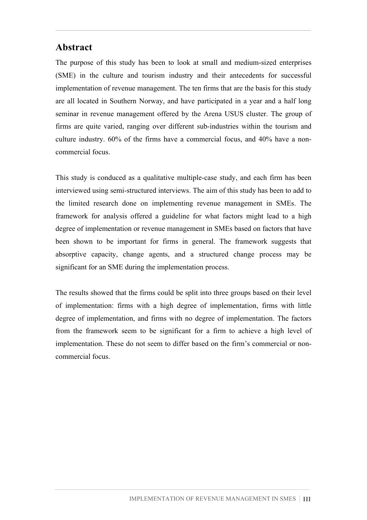# **Abstract**

The purpose of this study has been to look at small and medium-sized enterprises (SME) in the culture and tourism industry and their antecedents for successful implementation of revenue management. The ten firms that are the basis for this study are all located in Southern Norway, and have participated in a year and a half long seminar in revenue management offered by the Arena USUS cluster. The group of firms are quite varied, ranging over different sub-industries within the tourism and culture industry. 60% of the firms have a commercial focus, and 40% have a noncommercial focus.

This study is conduced as a qualitative multiple-case study, and each firm has been interviewed using semi-structured interviews. The aim of this study has been to add to the limited research done on implementing revenue management in SMEs. The framework for analysis offered a guideline for what factors might lead to a high degree of implementation or revenue management in SMEs based on factors that have been shown to be important for firms in general. The framework suggests that absorptive capacity, change agents, and a structured change process may be significant for an SME during the implementation process.

The results showed that the firms could be split into three groups based on their level of implementation: firms with a high degree of implementation, firms with little degree of implementation, and firms with no degree of implementation. The factors from the framework seem to be significant for a firm to achieve a high level of implementation. These do not seem to differ based on the firm's commercial or noncommercial focus.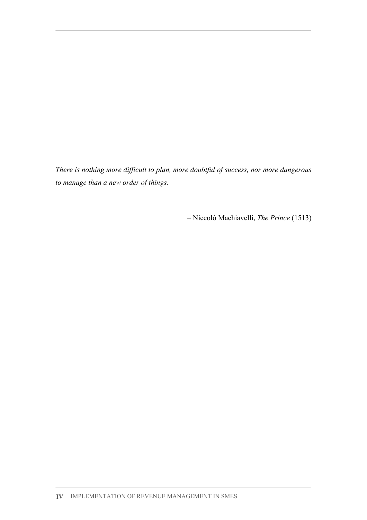*There is nothing more difficult to plan, more doubtful of success, nor more dangerous to manage than a new order of things.*

– Niccolò Machiavelli, *The Prince* (1513)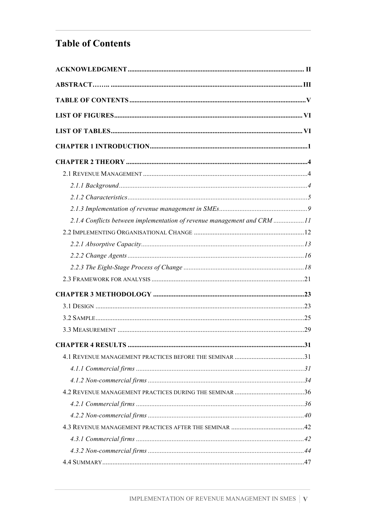# **Table of Contents**

| 2.1.4 Conflicts between implementation of revenue management and CRM 11 |  |
|-------------------------------------------------------------------------|--|
|                                                                         |  |
|                                                                         |  |
|                                                                         |  |
|                                                                         |  |
|                                                                         |  |
|                                                                         |  |
|                                                                         |  |
|                                                                         |  |
|                                                                         |  |
|                                                                         |  |
|                                                                         |  |
|                                                                         |  |
|                                                                         |  |
|                                                                         |  |
|                                                                         |  |
|                                                                         |  |
|                                                                         |  |
|                                                                         |  |
|                                                                         |  |
|                                                                         |  |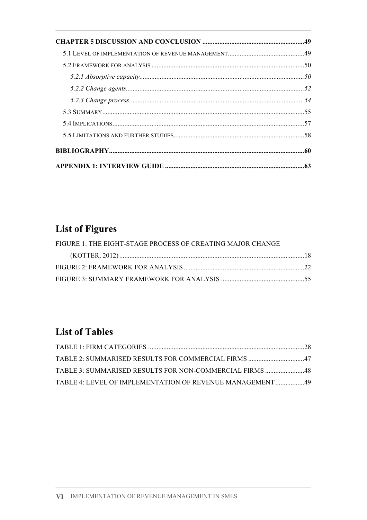# **List of Figures**

| FIGURE 1: THE EIGHT-STAGE PROCESS OF CREATING MAJOR CHANGE |  |
|------------------------------------------------------------|--|
|                                                            |  |
|                                                            |  |
|                                                            |  |

# **List of Tables**

| TABLE 3: SUMMARISED RESULTS FOR NON-COMMERCIAL FIRMS 48   |  |
|-----------------------------------------------------------|--|
| TABLE 4: LEVEL OF IMPLEMENTATION OF REVENUE MANAGEMENT 49 |  |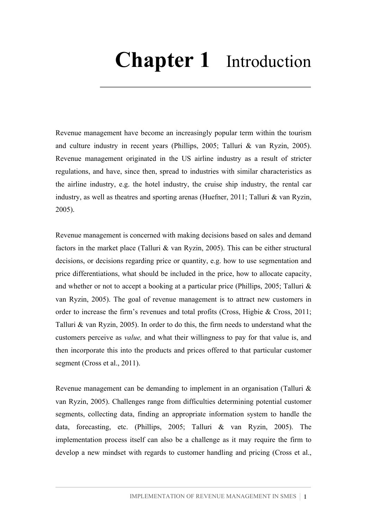# **Chapter 1** Introduction

Revenue management have become an increasingly popular term within the tourism and culture industry in recent years (Phillips, 2005; Talluri & van Ryzin, 2005). Revenue management originated in the US airline industry as a result of stricter regulations, and have, since then, spread to industries with similar characteristics as the airline industry, e.g. the hotel industry, the cruise ship industry, the rental car industry, as well as theatres and sporting arenas (Huefner, 2011; Talluri & van Ryzin, 2005).

Revenue management is concerned with making decisions based on sales and demand factors in the market place (Talluri  $\&$  van Ryzin, 2005). This can be either structural decisions, or decisions regarding price or quantity, e.g. how to use segmentation and price differentiations, what should be included in the price, how to allocate capacity, and whether or not to accept a booking at a particular price (Phillips, 2005; Talluri & van Ryzin, 2005). The goal of revenue management is to attract new customers in order to increase the firm's revenues and total profits (Cross, Higbie & Cross, 2011; Talluri & van Ryzin, 2005). In order to do this, the firm needs to understand what the customers perceive as *value,* and what their willingness to pay for that value is, and then incorporate this into the products and prices offered to that particular customer segment (Cross et al., 2011).

Revenue management can be demanding to implement in an organisation (Talluri & van Ryzin, 2005). Challenges range from difficulties determining potential customer segments, collecting data, finding an appropriate information system to handle the data, forecasting, etc. (Phillips, 2005; Talluri & van Ryzin, 2005). The implementation process itself can also be a challenge as it may require the firm to develop a new mindset with regards to customer handling and pricing (Cross et al.,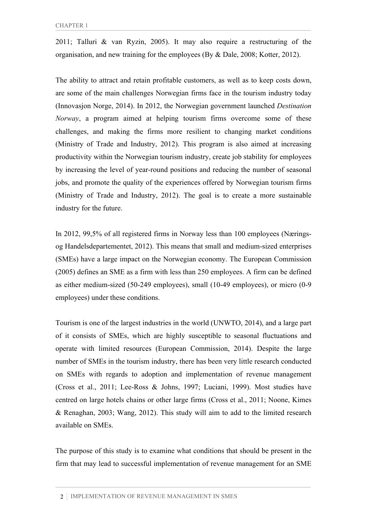2011; Talluri & van Ryzin, 2005). It may also require a restructuring of the organisation, and new training for the employees (By & Dale, 2008; Kotter, 2012).

The ability to attract and retain profitable customers, as well as to keep costs down, are some of the main challenges Norwegian firms face in the tourism industry today (Innovasjon Norge, 2014). In 2012, the Norwegian government launched *Destination Norway*, a program aimed at helping tourism firms overcome some of these challenges, and making the firms more resilient to changing market conditions (Ministry of Trade and Industry, 2012). This program is also aimed at increasing productivity within the Norwegian tourism industry, create job stability for employees by increasing the level of year-round positions and reducing the number of seasonal jobs, and promote the quality of the experiences offered by Norwegian tourism firms (Ministry of Trade and Industry, 2012). The goal is to create a more sustainable industry for the future.

In 2012, 99,5% of all registered firms in Norway less than 100 employees (Næringsog Handelsdepartementet, 2012). This means that small and medium-sized enterprises (SMEs) have a large impact on the Norwegian economy. The European Commission (2005) defines an SME as a firm with less than 250 employees. A firm can be defined as either medium-sized (50-249 employees), small (10-49 employees), or micro (0-9 employees) under these conditions.

Tourism is one of the largest industries in the world (UNWTO, 2014), and a large part of it consists of SMEs, which are highly susceptible to seasonal fluctuations and operate with limited resources (European Commission, 2014). Despite the large number of SMEs in the tourism industry, there has been very little research conducted on SMEs with regards to adoption and implementation of revenue management (Cross et al., 2011; Lee-Ross & Johns, 1997; Luciani, 1999). Most studies have centred on large hotels chains or other large firms (Cross et al., 2011; Noone, Kimes & Renaghan, 2003; Wang, 2012). This study will aim to add to the limited research available on SMEs.

The purpose of this study is to examine what conditions that should be present in the firm that may lead to successful implementation of revenue management for an SME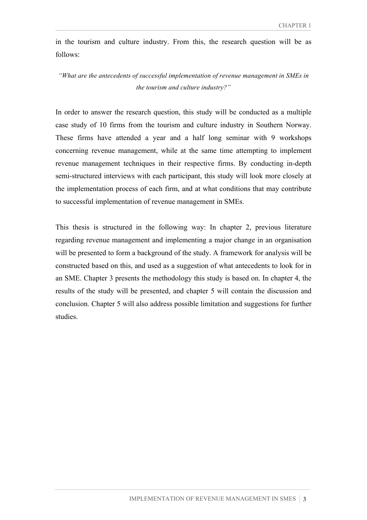in the tourism and culture industry. From this, the research question will be as follows:

*"What are the antecedents of successful implementation of revenue management in SMEs in the tourism and culture industry?"*

In order to answer the research question, this study will be conducted as a multiple case study of 10 firms from the tourism and culture industry in Southern Norway. These firms have attended a year and a half long seminar with 9 workshops concerning revenue management, while at the same time attempting to implement revenue management techniques in their respective firms. By conducting in-depth semi-structured interviews with each participant, this study will look more closely at the implementation process of each firm, and at what conditions that may contribute to successful implementation of revenue management in SMEs.

This thesis is structured in the following way: In chapter 2, previous literature regarding revenue management and implementing a major change in an organisation will be presented to form a background of the study. A framework for analysis will be constructed based on this, and used as a suggestion of what antecedents to look for in an SME. Chapter 3 presents the methodology this study is based on. In chapter 4, the results of the study will be presented, and chapter 5 will contain the discussion and conclusion. Chapter 5 will also address possible limitation and suggestions for further studies.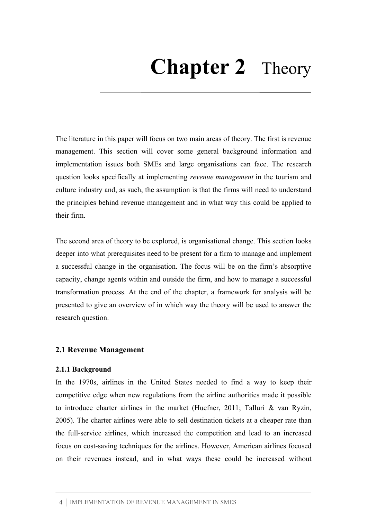# **Chapter 2** Theory

The literature in this paper will focus on two main areas of theory. The first is revenue management. This section will cover some general background information and implementation issues both SMEs and large organisations can face. The research question looks specifically at implementing *revenue management* in the tourism and culture industry and, as such, the assumption is that the firms will need to understand the principles behind revenue management and in what way this could be applied to their firm.

The second area of theory to be explored, is organisational change. This section looks deeper into what prerequisites need to be present for a firm to manage and implement a successful change in the organisation. The focus will be on the firm's absorptive capacity, change agents within and outside the firm, and how to manage a successful transformation process. At the end of the chapter, a framework for analysis will be presented to give an overview of in which way the theory will be used to answer the research question.

## **2.1 Revenue Management**

#### **2.1.1 Background**

In the 1970s, airlines in the United States needed to find a way to keep their competitive edge when new regulations from the airline authorities made it possible to introduce charter airlines in the market (Huefner, 2011; Talluri & van Ryzin, 2005). The charter airlines were able to sell destination tickets at a cheaper rate than the full-service airlines, which increased the competition and lead to an increased focus on cost-saving techniques for the airlines. However, American airlines focused on their revenues instead, and in what ways these could be increased without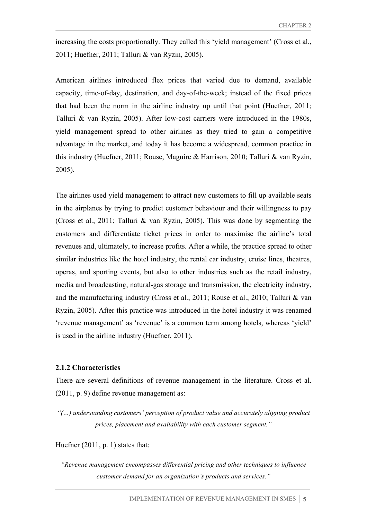increasing the costs proportionally. They called this 'yield management' (Cross et al., 2011; Huefner, 2011; Talluri & van Ryzin, 2005).

American airlines introduced flex prices that varied due to demand, available capacity, time-of-day, destination, and day-of-the-week; instead of the fixed prices that had been the norm in the airline industry up until that point (Huefner, 2011; Talluri & van Ryzin, 2005). After low-cost carriers were introduced in the 1980s, yield management spread to other airlines as they tried to gain a competitive advantage in the market, and today it has become a widespread, common practice in this industry (Huefner, 2011; Rouse, Maguire & Harrison, 2010; Talluri & van Ryzin, 2005).

The airlines used yield management to attract new customers to fill up available seats in the airplanes by trying to predict customer behaviour and their willingness to pay (Cross et al., 2011; Talluri & van Ryzin, 2005). This was done by segmenting the customers and differentiate ticket prices in order to maximise the airline's total revenues and, ultimately, to increase profits. After a while, the practice spread to other similar industries like the hotel industry, the rental car industry, cruise lines, theatres, operas, and sporting events, but also to other industries such as the retail industry, media and broadcasting, natural-gas storage and transmission, the electricity industry, and the manufacturing industry (Cross et al., 2011; Rouse et al., 2010; Talluri & van Ryzin, 2005). After this practice was introduced in the hotel industry it was renamed 'revenue management' as 'revenue' is a common term among hotels, whereas 'yield' is used in the airline industry (Huefner, 2011).

#### **2.1.2 Characteristics**

There are several definitions of revenue management in the literature. Cross et al. (2011, p. 9) define revenue management as:

*"(…) understanding customers' perception of product value and accurately aligning product prices, placement and availability with each customer segment."*

Huefner (2011, p. 1) states that:

*"Revenue management encompasses differential pricing and other techniques to influence customer demand for an organization's products and services."*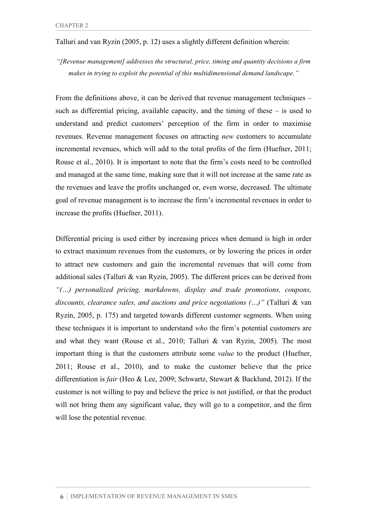## Talluri and van Ryzin (2005, p. 12) uses a slightly different definition wherein:

*"[Revenue management] addresses the structural, price, timing and quantity decisions a firm makes in trying to exploit the potential of this multidimensional demand landscape."*

From the definitions above, it can be derived that revenue management techniques – such as differential pricing, available capacity, and the timing of these – is used to understand and predict customers' perception of the firm in order to maximise revenues. Revenue management focuses on attracting *new* customers to accumulate incremental revenues, which will add to the total profits of the firm (Huefner, 2011; Rouse et al., 2010). It is important to note that the firm's costs need to be controlled and managed at the same time, making sure that it will not increase at the same rate as the revenues and leave the profits unchanged or, even worse, decreased. The ultimate goal of revenue management is to increase the firm's incremental revenues in order to increase the profits (Huefner, 2011).

Differential pricing is used either by increasing prices when demand is high in order to extract maximum revenues from the customers, or by lowering the prices in order to attract new customers and gain the incremental revenues that will come from additional sales (Talluri & van Ryzin, 2005). The different prices can be derived from *"(…) personalized pricing, markdowns, display and trade promotions, coupons, discounts, clearance sales, and auctions and price negotiations (…)"* (Talluri & van Ryzin, 2005, p. 175) and targeted towards different customer segments. When using these techniques it is important to understand *who* the firm's potential customers are and what they want (Rouse et al., 2010; Talluri & van Ryzin, 2005). The most important thing is that the customers attribute some *value* to the product (Huefner, 2011; Rouse et al., 2010), and to make the customer believe that the price differentiation is *fair* (Heo & Lee, 2009; Schwartz, Stewart & Backlund, 2012). If the customer is not willing to pay and believe the price is not justified, or that the product will not bring them any significant value, they will go to a competitor, and the firm will lose the potential revenue.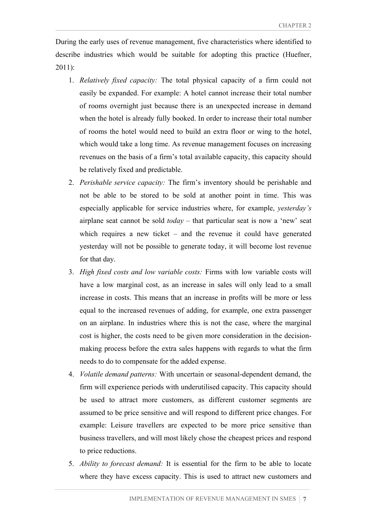During the early uses of revenue management, five characteristics where identified to describe industries which would be suitable for adopting this practice (Huefner, 2011):

- 1. *Relatively fixed capacity:* The total physical capacity of a firm could not easily be expanded. For example: A hotel cannot increase their total number of rooms overnight just because there is an unexpected increase in demand when the hotel is already fully booked. In order to increase their total number of rooms the hotel would need to build an extra floor or wing to the hotel, which would take a long time. As revenue management focuses on increasing revenues on the basis of a firm's total available capacity, this capacity should be relatively fixed and predictable.
- 2. *Perishable service capacity:* The firm's inventory should be perishable and not be able to be stored to be sold at another point in time. This was especially applicable for service industries where, for example, *yesterday's* airplane seat cannot be sold *today* – that particular seat is now a 'new' seat which requires a new ticket – and the revenue it could have generated yesterday will not be possible to generate today, it will become lost revenue for that day.
- 3. *High fixed costs and low variable costs:* Firms with low variable costs will have a low marginal cost, as an increase in sales will only lead to a small increase in costs. This means that an increase in profits will be more or less equal to the increased revenues of adding, for example, one extra passenger on an airplane. In industries where this is not the case, where the marginal cost is higher, the costs need to be given more consideration in the decisionmaking process before the extra sales happens with regards to what the firm needs to do to compensate for the added expense.
- 4. *Volatile demand patterns:* With uncertain or seasonal-dependent demand, the firm will experience periods with underutilised capacity. This capacity should be used to attract more customers, as different customer segments are assumed to be price sensitive and will respond to different price changes. For example: Leisure travellers are expected to be more price sensitive than business travellers, and will most likely chose the cheapest prices and respond to price reductions.
- 5. *Ability to forecast demand:* It is essential for the firm to be able to locate where they have excess capacity. This is used to attract new customers and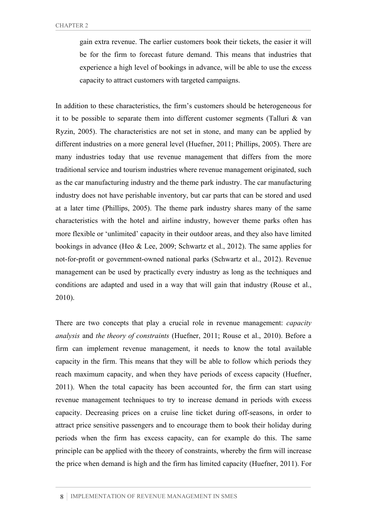gain extra revenue. The earlier customers book their tickets, the easier it will be for the firm to forecast future demand. This means that industries that experience a high level of bookings in advance, will be able to use the excess capacity to attract customers with targeted campaigns.

In addition to these characteristics, the firm's customers should be heterogeneous for it to be possible to separate them into different customer segments (Talluri & van Ryzin, 2005). The characteristics are not set in stone, and many can be applied by different industries on a more general level (Huefner, 2011; Phillips, 2005). There are many industries today that use revenue management that differs from the more traditional service and tourism industries where revenue management originated, such as the car manufacturing industry and the theme park industry. The car manufacturing industry does not have perishable inventory, but car parts that can be stored and used at a later time (Phillips, 2005). The theme park industry shares many of the same characteristics with the hotel and airline industry, however theme parks often has more flexible or 'unlimited' capacity in their outdoor areas, and they also have limited bookings in advance (Heo & Lee, 2009; Schwartz et al., 2012). The same applies for not-for-profit or government-owned national parks (Schwartz et al., 2012). Revenue management can be used by practically every industry as long as the techniques and conditions are adapted and used in a way that will gain that industry (Rouse et al., 2010).

There are two concepts that play a crucial role in revenue management: *capacity analysis* and *the theory of constraints* (Huefner, 2011; Rouse et al., 2010). Before a firm can implement revenue management, it needs to know the total available capacity in the firm. This means that they will be able to follow which periods they reach maximum capacity, and when they have periods of excess capacity (Huefner, 2011). When the total capacity has been accounted for, the firm can start using revenue management techniques to try to increase demand in periods with excess capacity. Decreasing prices on a cruise line ticket during off-seasons, in order to attract price sensitive passengers and to encourage them to book their holiday during periods when the firm has excess capacity, can for example do this. The same principle can be applied with the theory of constraints, whereby the firm will increase the price when demand is high and the firm has limited capacity (Huefner, 2011). For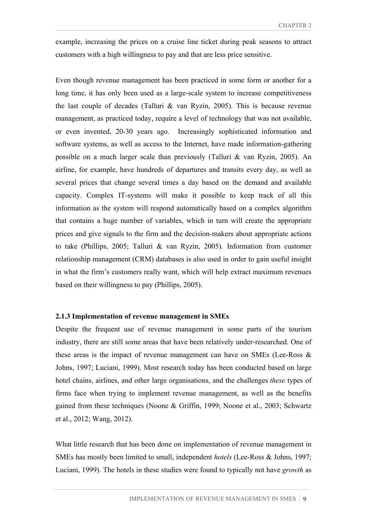example, increasing the prices on a cruise line ticket during peak seasons to attract customers with a high willingness to pay and that are less price sensitive.

Even though revenue management has been practiced in some form or another for a long time, it has only been used as a large-scale system to increase competitiveness the last couple of decades (Talluri & van Ryzin, 2005). This is because revenue management, as practiced today, require a level of technology that was not available, or even invented, 20-30 years ago. Increasingly sophisticated information and software systems, as well as access to the Internet, have made information-gathering possible on a much larger scale than previously (Talluri & van Ryzin, 2005). An airline, for example, have hundreds of departures and transits every day, as well as several prices that change several times a day based on the demand and available capacity. Complex IT-systems will make it possible to keep track of all this information as the system will respond automatically based on a complex algorithm that contains a huge number of variables, which in turn will create the appropriate prices and give signals to the firm and the decision-makers about appropriate actions to take (Phillips, 2005; Talluri & van Ryzin, 2005). Information from customer relationship management (CRM) databases is also used in order to gain useful insight in what the firm's customers really want, which will help extract maximum revenues based on their willingness to pay (Phillips, 2005).

#### **2.1.3 Implementation of revenue management in SMEs**

Despite the frequent use of revenue management in some parts of the tourism industry, there are still some areas that have been relatively under-researched. One of these areas is the impact of revenue management can have on SMEs (Lee-Ross & Johns, 1997; Luciani, 1999). Most research today has been conducted based on large hotel chains, airlines, and other large organisations, and the challenges *these* types of firms face when trying to implement revenue management, as well as the benefits gained from these techniques (Noone & Griffin, 1999; Noone et al., 2003; Schwartz et al., 2012; Wang, 2012).

What little research that has been done on implementation of revenue management in SMEs has mostly been limited to small, independent *hotels* (Lee-Ross & Johns, 1997; Luciani, 1999). The hotels in these studies were found to typically not have *growth* as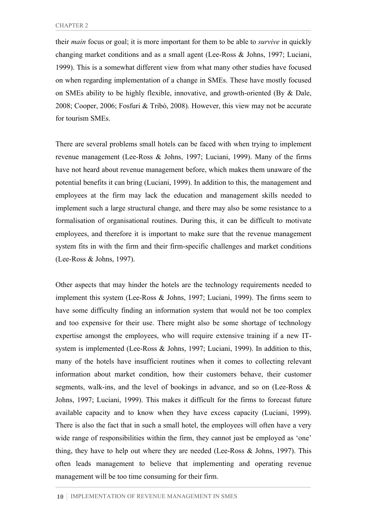their *main* focus or goal; it is more important for them to be able to *survive* in quickly changing market conditions and as a small agent (Lee-Ross & Johns, 1997; Luciani, 1999). This is a somewhat different view from what many other studies have focused on when regarding implementation of a change in SMEs. These have mostly focused on SMEs ability to be highly flexible, innovative, and growth-oriented (By & Dale, 2008; Cooper, 2006; Fosfuri & Tribó, 2008). However, this view may not be accurate for tourism SMEs.

There are several problems small hotels can be faced with when trying to implement revenue management (Lee-Ross & Johns, 1997; Luciani, 1999). Many of the firms have not heard about revenue management before, which makes them unaware of the potential benefits it can bring (Luciani, 1999). In addition to this, the management and employees at the firm may lack the education and management skills needed to implement such a large structural change, and there may also be some resistance to a formalisation of organisational routines. During this, it can be difficult to motivate employees, and therefore it is important to make sure that the revenue management system fits in with the firm and their firm-specific challenges and market conditions (Lee-Ross & Johns, 1997).

Other aspects that may hinder the hotels are the technology requirements needed to implement this system (Lee-Ross & Johns, 1997; Luciani, 1999). The firms seem to have some difficulty finding an information system that would not be too complex and too expensive for their use. There might also be some shortage of technology expertise amongst the employees, who will require extensive training if a new ITsystem is implemented (Lee-Ross & Johns, 1997; Luciani, 1999). In addition to this, many of the hotels have insufficient routines when it comes to collecting relevant information about market condition, how their customers behave, their customer segments, walk-ins, and the level of bookings in advance, and so on (Lee-Ross & Johns, 1997; Luciani, 1999). This makes it difficult for the firms to forecast future available capacity and to know when they have excess capacity (Luciani, 1999). There is also the fact that in such a small hotel, the employees will often have a very wide range of responsibilities within the firm, they cannot just be employed as 'one' thing, they have to help out where they are needed (Lee-Ross & Johns, 1997). This often leads management to believe that implementing and operating revenue management will be too time consuming for their firm.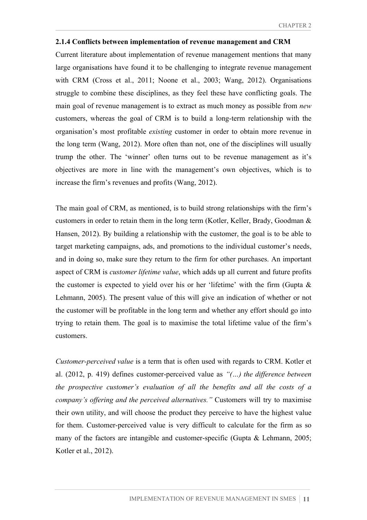#### **2.1.4 Conflicts between implementation of revenue management and CRM**

Current literature about implementation of revenue management mentions that many large organisations have found it to be challenging to integrate revenue management with CRM (Cross et al., 2011; Noone et al., 2003; Wang, 2012). Organisations struggle to combine these disciplines, as they feel these have conflicting goals. The main goal of revenue management is to extract as much money as possible from *new* customers, whereas the goal of CRM is to build a long-term relationship with the organisation's most profitable *existing* customer in order to obtain more revenue in the long term (Wang, 2012). More often than not, one of the disciplines will usually trump the other. The 'winner' often turns out to be revenue management as it's objectives are more in line with the management's own objectives, which is to increase the firm's revenues and profits (Wang, 2012).

The main goal of CRM, as mentioned, is to build strong relationships with the firm's customers in order to retain them in the long term (Kotler, Keller, Brady, Goodman & Hansen, 2012). By building a relationship with the customer, the goal is to be able to target marketing campaigns, ads, and promotions to the individual customer's needs, and in doing so, make sure they return to the firm for other purchases. An important aspect of CRM is *customer lifetime value*, which adds up all current and future profits the customer is expected to yield over his or her 'lifetime' with the firm (Gupta  $\&$ Lehmann, 2005). The present value of this will give an indication of whether or not the customer will be profitable in the long term and whether any effort should go into trying to retain them. The goal is to maximise the total lifetime value of the firm's customers.

*Customer-perceived value* is a term that is often used with regards to CRM. Kotler et al. (2012, p. 419) defines customer-perceived value as *"(…) the difference between the prospective customer's evaluation of all the benefits and all the costs of a company's offering and the perceived alternatives."* Customers will try to maximise their own utility, and will choose the product they perceive to have the highest value for them. Customer-perceived value is very difficult to calculate for the firm as so many of the factors are intangible and customer-specific (Gupta & Lehmann, 2005; Kotler et al., 2012).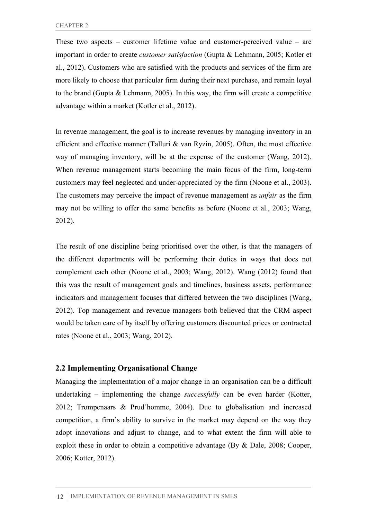These two aspects – customer lifetime value and customer-perceived value – are important in order to create *customer satisfaction* (Gupta & Lehmann, 2005; Kotler et al., 2012). Customers who are satisfied with the products and services of the firm are more likely to choose that particular firm during their next purchase, and remain loyal to the brand (Gupta & Lehmann, 2005). In this way, the firm will create a competitive advantage within a market (Kotler et al., 2012).

In revenue management, the goal is to increase revenues by managing inventory in an efficient and effective manner (Talluri & van Ryzin, 2005). Often, the most effective way of managing inventory, will be at the expense of the customer (Wang, 2012). When revenue management starts becoming the main focus of the firm, long-term customers may feel neglected and under-appreciated by the firm (Noone et al., 2003). The customers may perceive the impact of revenue management as *unfair* as the firm may not be willing to offer the same benefits as before (Noone et al., 2003; Wang, 2012).

The result of one discipline being prioritised over the other, is that the managers of the different departments will be performing their duties in ways that does not complement each other (Noone et al., 2003; Wang, 2012). Wang (2012) found that this was the result of management goals and timelines, business assets, performance indicators and management focuses that differed between the two disciplines (Wang, 2012). Top management and revenue managers both believed that the CRM aspect would be taken care of by itself by offering customers discounted prices or contracted rates (Noone et al., 2003; Wang, 2012).

## **2.2 Implementing Organisational Change**

Managing the implementation of a major change in an organisation can be a difficult undertaking – implementing the change *successfully* can be even harder (Kotter, 2012; Trompenaars & Prud´homme, 2004). Due to globalisation and increased competition, a firm's ability to survive in the market may depend on the way they adopt innovations and adjust to change, and to what extent the firm will able to exploit these in order to obtain a competitive advantage (By & Dale, 2008; Cooper, 2006; Kotter, 2012).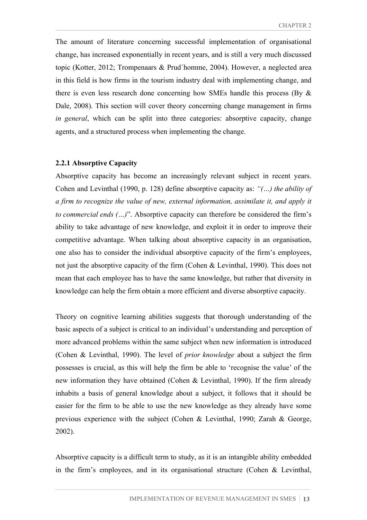The amount of literature concerning successful implementation of organisational change, has increased exponentially in recent years, and is still a very much discussed topic (Kotter, 2012; Trompenaars & Prud´homme, 2004). However, a neglected area in this field is how firms in the tourism industry deal with implementing change, and there is even less research done concerning how SMEs handle this process (By & Dale, 2008). This section will cover theory concerning change management in firms *in general*, which can be split into three categories: absorptive capacity, change agents, and a structured process when implementing the change.

#### **2.2.1 Absorptive Capacity**

Absorptive capacity has become an increasingly relevant subject in recent years. Cohen and Levinthal (1990, p. 128) define absorptive capacity as: *"(…) the ability of a firm to recognize the value of new, external information, assimilate it, and apply it to commercial ends (…)*". Absorptive capacity can therefore be considered the firm's ability to take advantage of new knowledge, and exploit it in order to improve their competitive advantage. When talking about absorptive capacity in an organisation, one also has to consider the individual absorptive capacity of the firm's employees, not just the absorptive capacity of the firm (Cohen & Levinthal, 1990). This does not mean that each employee has to have the same knowledge, but rather that diversity in knowledge can help the firm obtain a more efficient and diverse absorptive capacity.

Theory on cognitive learning abilities suggests that thorough understanding of the basic aspects of a subject is critical to an individual's understanding and perception of more advanced problems within the same subject when new information is introduced (Cohen & Levinthal, 1990). The level of *prior knowledge* about a subject the firm possesses is crucial, as this will help the firm be able to 'recognise the value' of the new information they have obtained (Cohen & Levinthal, 1990). If the firm already inhabits a basis of general knowledge about a subject, it follows that it should be easier for the firm to be able to use the new knowledge as they already have some previous experience with the subject (Cohen & Levinthal, 1990; Zarah & George, 2002).

Absorptive capacity is a difficult term to study, as it is an intangible ability embedded in the firm's employees, and in its organisational structure (Cohen & Levinthal,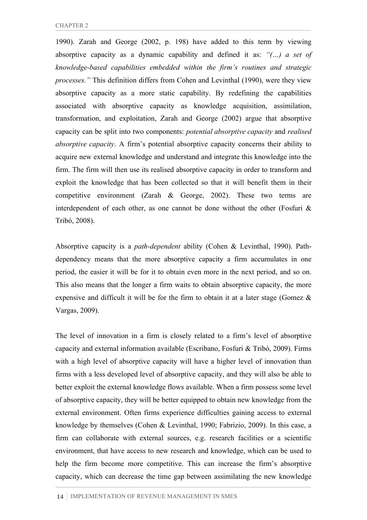1990). Zarah and George (2002, p. 198) have added to this term by viewing absorptive capacity as a dynamic capability and defined it as: *"(…) a set of knowledge-based capabilities embedded within the firm's routines and strategic processes."* This definition differs from Cohen and Levinthal (1990), were they view absorptive capacity as a more static capability. By redefining the capabilities associated with absorptive capacity as knowledge acquisition, assimilation, transformation, and exploitation, Zarah and George (2002) argue that absorptive capacity can be split into two components: *potential absorptive capacity* and *realised absorptive capacity*. A firm's potential absorptive capacity concerns their ability to acquire new external knowledge and understand and integrate this knowledge into the firm. The firm will then use its realised absorptive capacity in order to transform and exploit the knowledge that has been collected so that it will benefit them in their competitive environment (Zarah & George, 2002). These two terms are interdependent of each other, as one cannot be done without the other (Fosfuri  $\&$ Tribó, 2008).

Absorptive capacity is a *path-dependent* ability (Cohen & Levinthal, 1990). Pathdependency means that the more absorptive capacity a firm accumulates in one period, the easier it will be for it to obtain even more in the next period, and so on. This also means that the longer a firm waits to obtain absorptive capacity, the more expensive and difficult it will be for the firm to obtain it at a later stage (Gomez & Vargas, 2009).

The level of innovation in a firm is closely related to a firm's level of absorptive capacity and external information available (Escribano, Fosfuri & Tribó, 2009). Firms with a high level of absorptive capacity will have a higher level of innovation than firms with a less developed level of absorptive capacity, and they will also be able to better exploit the external knowledge flows available. When a firm possess some level of absorptive capacity, they will be better equipped to obtain new knowledge from the external environment. Often firms experience difficulties gaining access to external knowledge by themselves (Cohen & Levinthal, 1990; Fabrizio, 2009). In this case, a firm can collaborate with external sources, e.g. research facilities or a scientific environment, that have access to new research and knowledge, which can be used to help the firm become more competitive. This can increase the firm's absorptive capacity, which can decrease the time gap between assimilating the new knowledge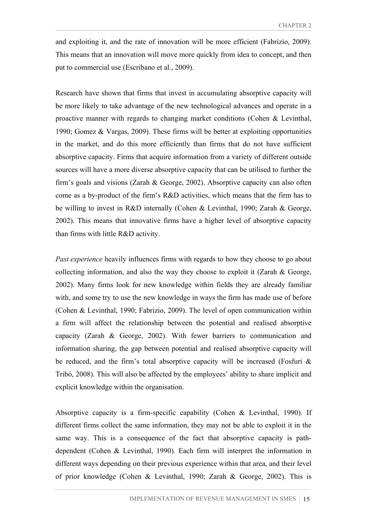and exploiting it, and the rate of innovation will be more efficient (Fabrizio, 2009). This means that an innovation will move more quickly from idea to concept, and then put to commercial use (Escribano et al., 2009).

Research have shown that firms that invest in accumulating absorptive capacity will be more likely to take advantage of the new technological advances and operate in a proactive manner with regards to changing market conditions (Cohen & Levinthal, 1990; Gomez & Vargas, 2009). These firms will be better at exploiting opportunities in the market, and do this more efficiently than firms that do not have sufficient absorptive capacity. Firms that acquire information from a variety of different outside sources will have a more diverse absorptive capacity that can be utilised to further the firm's goals and visions (Zarah & George, 2002). Absorptive capacity can also often come as a by-product of the firm's R&D activities, which means that the firm has to be willing to invest in R&D internally (Cohen & Levinthal, 1990; Zarah & George, 2002). This means that innovative firms have a higher level of absorptive capacity than firms with little R&D activity.

*Past experience* heavily influences firms with regards to how they choose to go about collecting information, and also the way they choose to exploit it (Zarah & George, 2002). Many firms look for new knowledge within fields they are already familiar with, and some try to use the new knowledge in ways the firm has made use of before (Cohen & Levinthal, 1990; Fabrizio, 2009). The level of open communication within a firm will affect the relationship between the potential and realised absorptive capacity (Zarah & George, 2002). With fewer barriers to communication and information sharing, the gap between potential and realised absorptive capacity will be reduced, and the firm's total absorptive capacity will be increased (Fosfuri  $\&$ Tribó, 2008). This will also be affected by the employees' ability to share implicit and explicit knowledge within the organisation.

Absorptive capacity is a firm-specific capability (Cohen & Levinthal, 1990). If different firms collect the same information, they may not be able to exploit it in the same way. This is a consequence of the fact that absorptive capacity is pathdependent (Cohen & Levinthal, 1990). Each firm will interpret the information in different ways depending on their previous experience within that area, and their level of prior knowledge (Cohen & Levinthal, 1990; Zarah & George, 2002). This is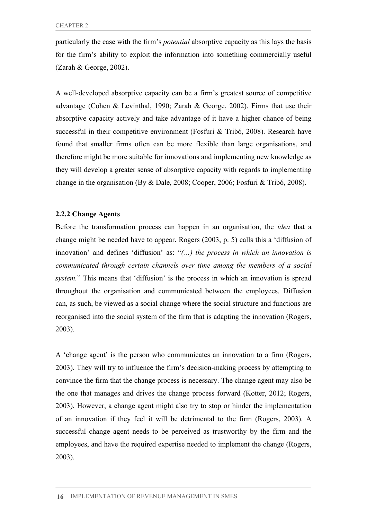particularly the case with the firm's *potential* absorptive capacity as this lays the basis for the firm's ability to exploit the information into something commercially useful (Zarah & George, 2002).

A well-developed absorptive capacity can be a firm's greatest source of competitive advantage (Cohen & Levinthal, 1990; Zarah & George, 2002). Firms that use their absorptive capacity actively and take advantage of it have a higher chance of being successful in their competitive environment (Fosfuri & Tribó, 2008). Research have found that smaller firms often can be more flexible than large organisations, and therefore might be more suitable for innovations and implementing new knowledge as they will develop a greater sense of absorptive capacity with regards to implementing change in the organisation (By & Dale, 2008; Cooper, 2006; Fosfuri & Tribó, 2008).

#### **2.2.2 Change Agents**

Before the transformation process can happen in an organisation, the *idea* that a change might be needed have to appear. Rogers (2003, p. 5) calls this a 'diffusion of innovation' and defines 'diffusion' as: "*(…) the process in which an innovation is communicated through certain channels over time among the members of a social system.*" This means that 'diffusion' is the process in which an innovation is spread throughout the organisation and communicated between the employees. Diffusion can, as such, be viewed as a social change where the social structure and functions are reorganised into the social system of the firm that is adapting the innovation (Rogers, 2003).

A 'change agent' is the person who communicates an innovation to a firm (Rogers, 2003). They will try to influence the firm's decision-making process by attempting to convince the firm that the change process is necessary. The change agent may also be the one that manages and drives the change process forward (Kotter, 2012; Rogers, 2003). However, a change agent might also try to stop or hinder the implementation of an innovation if they feel it will be detrimental to the firm (Rogers, 2003). A successful change agent needs to be perceived as trustworthy by the firm and the employees, and have the required expertise needed to implement the change (Rogers, 2003).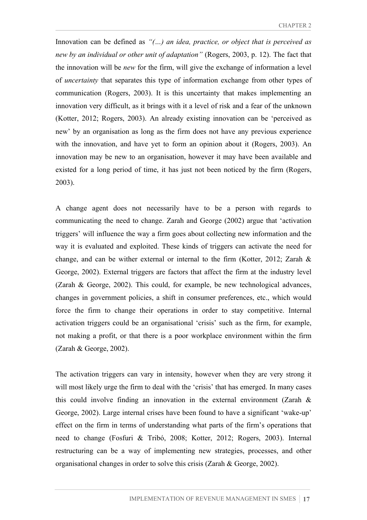Innovation can be defined as *"(…) an idea, practice, or object that is perceived as new by an individual or other unit of adaptation"* (Rogers, 2003, p. 12). The fact that the innovation will be *new* for the firm, will give the exchange of information a level of *uncertainty* that separates this type of information exchange from other types of communication (Rogers, 2003). It is this uncertainty that makes implementing an innovation very difficult, as it brings with it a level of risk and a fear of the unknown (Kotter, 2012; Rogers, 2003). An already existing innovation can be 'perceived as new' by an organisation as long as the firm does not have any previous experience with the innovation, and have yet to form an opinion about it (Rogers, 2003). An innovation may be new to an organisation, however it may have been available and existed for a long period of time, it has just not been noticed by the firm (Rogers, 2003).

A change agent does not necessarily have to be a person with regards to communicating the need to change. Zarah and George (2002) argue that 'activation triggers' will influence the way a firm goes about collecting new information and the way it is evaluated and exploited. These kinds of triggers can activate the need for change, and can be wither external or internal to the firm (Kotter, 2012; Zarah & George, 2002). External triggers are factors that affect the firm at the industry level (Zarah & George, 2002). This could, for example, be new technological advances, changes in government policies, a shift in consumer preferences, etc., which would force the firm to change their operations in order to stay competitive. Internal activation triggers could be an organisational 'crisis' such as the firm, for example, not making a profit, or that there is a poor workplace environment within the firm (Zarah & George, 2002).

The activation triggers can vary in intensity, however when they are very strong it will most likely urge the firm to deal with the 'crisis' that has emerged. In many cases this could involve finding an innovation in the external environment (Zarah & George, 2002). Large internal crises have been found to have a significant 'wake-up' effect on the firm in terms of understanding what parts of the firm's operations that need to change (Fosfuri & Tribó, 2008; Kotter, 2012; Rogers, 2003). Internal restructuring can be a way of implementing new strategies, processes, and other organisational changes in order to solve this crisis (Zarah & George, 2002).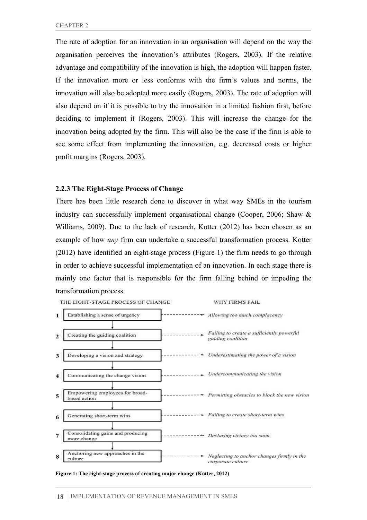The rate of adoption for an innovation in an organisation will depend on the way the organisation perceives the innovation's attributes (Rogers, 2003). If the relative advantage and compatibility of the innovation is high, the adoption will happen faster. If the innovation more or less conforms with the firm's values and norms, the innovation will also be adopted more easily (Rogers, 2003). The rate of adoption will also depend on if it is possible to try the innovation in a limited fashion first, before deciding to implement it (Rogers, 2003). This will increase the change for the innovation being adopted by the firm. This will also be the case if the firm is able to see some effect from implementing the innovation, e.g. decreased costs or higher profit margins (Rogers, 2003).

#### **2.2.3 The Eight-Stage Process of Change**

There has been little research done to discover in what way SMEs in the tourism industry can successfully implement organisational change (Cooper, 2006; Shaw & Williams, 2009). Due to the lack of research, Kotter (2012) has been chosen as an example of how *any* firm can undertake a successful transformation process. Kotter (2012) have identified an eight-stage process (Figure 1) the firm needs to go through in order to achieve successful implementation of an innovation. In each stage there is mainly one factor that is responsible for the firm falling behind or impeding the transformation process.

WHY FIRMS FAIL





**Figure 1: The eight-stage process of creating major change (Kotter, 2012)**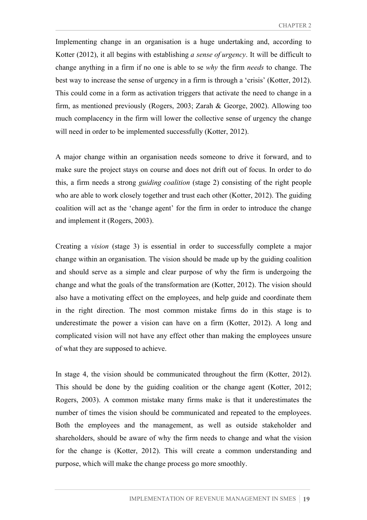Implementing change in an organisation is a huge undertaking and, according to Kotter (2012), it all begins with establishing *a sense of urgency*. It will be difficult to change anything in a firm if no one is able to se *why* the firm *needs* to change. The best way to increase the sense of urgency in a firm is through a 'crisis' (Kotter, 2012). This could come in a form as activation triggers that activate the need to change in a firm, as mentioned previously (Rogers, 2003; Zarah & George, 2002). Allowing too much complacency in the firm will lower the collective sense of urgency the change will need in order to be implemented successfully (Kotter, 2012).

A major change within an organisation needs someone to drive it forward, and to make sure the project stays on course and does not drift out of focus. In order to do this, a firm needs a strong *guiding coalition* (stage 2) consisting of the right people who are able to work closely together and trust each other (Kotter, 2012). The guiding coalition will act as the 'change agent' for the firm in order to introduce the change and implement it (Rogers, 2003).

Creating a *vision* (stage 3) is essential in order to successfully complete a major change within an organisation. The vision should be made up by the guiding coalition and should serve as a simple and clear purpose of why the firm is undergoing the change and what the goals of the transformation are (Kotter, 2012). The vision should also have a motivating effect on the employees, and help guide and coordinate them in the right direction. The most common mistake firms do in this stage is to underestimate the power a vision can have on a firm (Kotter, 2012). A long and complicated vision will not have any effect other than making the employees unsure of what they are supposed to achieve.

In stage 4, the vision should be communicated throughout the firm (Kotter, 2012). This should be done by the guiding coalition or the change agent (Kotter, 2012; Rogers, 2003). A common mistake many firms make is that it underestimates the number of times the vision should be communicated and repeated to the employees. Both the employees and the management, as well as outside stakeholder and shareholders, should be aware of why the firm needs to change and what the vision for the change is (Kotter, 2012). This will create a common understanding and purpose, which will make the change process go more smoothly.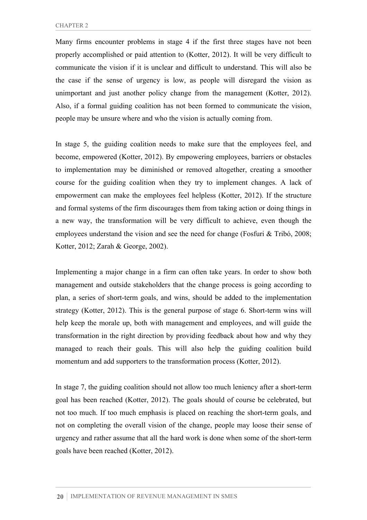Many firms encounter problems in stage 4 if the first three stages have not been properly accomplished or paid attention to (Kotter, 2012). It will be very difficult to communicate the vision if it is unclear and difficult to understand. This will also be the case if the sense of urgency is low, as people will disregard the vision as unimportant and just another policy change from the management (Kotter, 2012). Also, if a formal guiding coalition has not been formed to communicate the vision, people may be unsure where and who the vision is actually coming from.

In stage 5, the guiding coalition needs to make sure that the employees feel, and become, empowered (Kotter, 2012). By empowering employees, barriers or obstacles to implementation may be diminished or removed altogether, creating a smoother course for the guiding coalition when they try to implement changes. A lack of empowerment can make the employees feel helpless (Kotter, 2012). If the structure and formal systems of the firm discourages them from taking action or doing things in a new way, the transformation will be very difficult to achieve, even though the employees understand the vision and see the need for change (Fosfuri & Tribó, 2008; Kotter, 2012; Zarah & George, 2002).

Implementing a major change in a firm can often take years. In order to show both management and outside stakeholders that the change process is going according to plan, a series of short-term goals, and wins, should be added to the implementation strategy (Kotter, 2012). This is the general purpose of stage 6. Short-term wins will help keep the morale up, both with management and employees, and will guide the transformation in the right direction by providing feedback about how and why they managed to reach their goals. This will also help the guiding coalition build momentum and add supporters to the transformation process (Kotter, 2012).

In stage 7, the guiding coalition should not allow too much leniency after a short-term goal has been reached (Kotter, 2012). The goals should of course be celebrated, but not too much. If too much emphasis is placed on reaching the short-term goals, and not on completing the overall vision of the change, people may loose their sense of urgency and rather assume that all the hard work is done when some of the short-term goals have been reached (Kotter, 2012).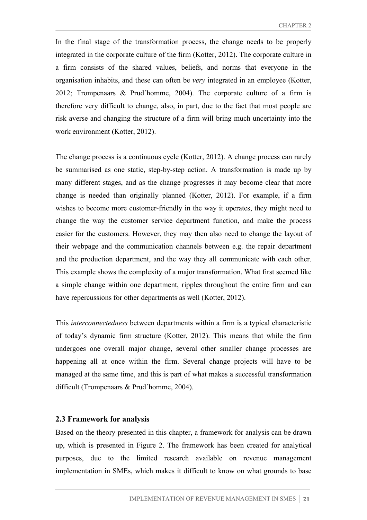In the final stage of the transformation process, the change needs to be properly integrated in the corporate culture of the firm (Kotter, 2012). The corporate culture in a firm consists of the shared values, beliefs, and norms that everyone in the organisation inhabits, and these can often be *very* integrated in an employee (Kotter, 2012; Trompenaars & Prud´homme, 2004). The corporate culture of a firm is therefore very difficult to change, also, in part, due to the fact that most people are risk averse and changing the structure of a firm will bring much uncertainty into the work environment (Kotter, 2012).

The change process is a continuous cycle (Kotter, 2012). A change process can rarely be summarised as one static, step-by-step action. A transformation is made up by many different stages, and as the change progresses it may become clear that more change is needed than originally planned (Kotter, 2012). For example, if a firm wishes to become more customer-friendly in the way it operates, they might need to change the way the customer service department function, and make the process easier for the customers. However, they may then also need to change the layout of their webpage and the communication channels between e.g. the repair department and the production department, and the way they all communicate with each other. This example shows the complexity of a major transformation. What first seemed like a simple change within one department, ripples throughout the entire firm and can have repercussions for other departments as well (Kotter, 2012).

This *interconnectedness* between departments within a firm is a typical characteristic of today's dynamic firm structure (Kotter, 2012). This means that while the firm undergoes one overall major change, several other smaller change processes are happening all at once within the firm. Several change projects will have to be managed at the same time, and this is part of what makes a successful transformation difficult (Trompenaars & Prud´homme, 2004).

#### **2.3 Framework for analysis**

Based on the theory presented in this chapter, a framework for analysis can be drawn up, which is presented in Figure 2. The framework has been created for analytical purposes, due to the limited research available on revenue management implementation in SMEs, which makes it difficult to know on what grounds to base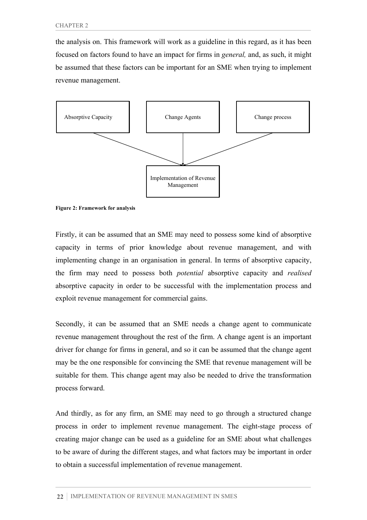the analysis on. This framework will work as a guideline in this regard, as it has been focused on factors found to have an impact for firms in *general,* and, as such, it might be assumed that these factors can be important for an SME when trying to implement revenue management.



**Figure 2: Framework for analysis**

Firstly, it can be assumed that an SME may need to possess some kind of absorptive capacity in terms of prior knowledge about revenue management, and with implementing change in an organisation in general. In terms of absorptive capacity, the firm may need to possess both *potential* absorptive capacity and *realised* absorptive capacity in order to be successful with the implementation process and exploit revenue management for commercial gains.

Secondly, it can be assumed that an SME needs a change agent to communicate revenue management throughout the rest of the firm. A change agent is an important driver for change for firms in general, and so it can be assumed that the change agent may be the one responsible for convincing the SME that revenue management will be suitable for them. This change agent may also be needed to drive the transformation process forward.

And thirdly, as for any firm, an SME may need to go through a structured change process in order to implement revenue management. The eight-stage process of creating major change can be used as a guideline for an SME about what challenges to be aware of during the different stages, and what factors may be important in order to obtain a successful implementation of revenue management.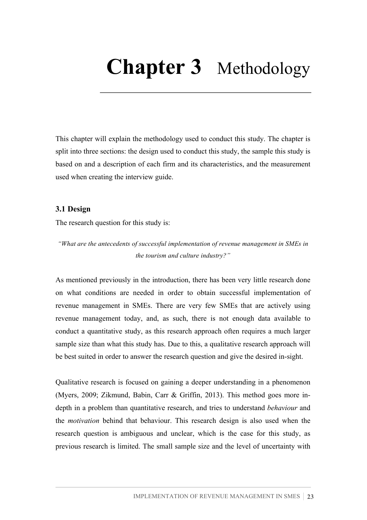# **Chapter 3** Methodology

This chapter will explain the methodology used to conduct this study. The chapter is split into three sections: the design used to conduct this study, the sample this study is based on and a description of each firm and its characteristics, and the measurement used when creating the interview guide.

#### **3.1 Design**

The research question for this study is:

*"What are the antecedents of successful implementation of revenue management in SMEs in the tourism and culture industry?"*

As mentioned previously in the introduction, there has been very little research done on what conditions are needed in order to obtain successful implementation of revenue management in SMEs. There are very few SMEs that are actively using revenue management today, and, as such, there is not enough data available to conduct a quantitative study, as this research approach often requires a much larger sample size than what this study has. Due to this, a qualitative research approach will be best suited in order to answer the research question and give the desired in-sight.

Qualitative research is focused on gaining a deeper understanding in a phenomenon (Myers, 2009; Zikmund, Babin, Carr & Griffin, 2013). This method goes more indepth in a problem than quantitative research, and tries to understand *behaviour* and the *motivation* behind that behaviour. This research design is also used when the research question is ambiguous and unclear, which is the case for this study, as previous research is limited. The small sample size and the level of uncertainty with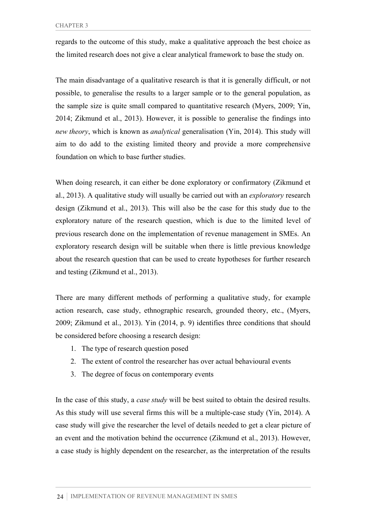regards to the outcome of this study, make a qualitative approach the best choice as the limited research does not give a clear analytical framework to base the study on.

The main disadvantage of a qualitative research is that it is generally difficult, or not possible, to generalise the results to a larger sample or to the general population, as the sample size is quite small compared to quantitative research (Myers, 2009; Yin, 2014; Zikmund et al., 2013). However, it is possible to generalise the findings into *new theory*, which is known as *analytical* generalisation (Yin, 2014). This study will aim to do add to the existing limited theory and provide a more comprehensive foundation on which to base further studies.

When doing research, it can either be done exploratory or confirmatory (Zikmund et al., 2013). A qualitative study will usually be carried out with an *exploratory* research design (Zikmund et al., 2013). This will also be the case for this study due to the exploratory nature of the research question, which is due to the limited level of previous research done on the implementation of revenue management in SMEs. An exploratory research design will be suitable when there is little previous knowledge about the research question that can be used to create hypotheses for further research and testing (Zikmund et al., 2013).

There are many different methods of performing a qualitative study, for example action research, case study, ethnographic research, grounded theory, etc., (Myers, 2009; Zikmund et al., 2013). Yin (2014, p. 9) identifies three conditions that should be considered before choosing a research design:

- 1. The type of research question posed
- 2. The extent of control the researcher has over actual behavioural events
- 3. The degree of focus on contemporary events

In the case of this study, a *case study* will be best suited to obtain the desired results. As this study will use several firms this will be a multiple-case study (Yin, 2014). A case study will give the researcher the level of details needed to get a clear picture of an event and the motivation behind the occurrence (Zikmund et al., 2013). However, a case study is highly dependent on the researcher, as the interpretation of the results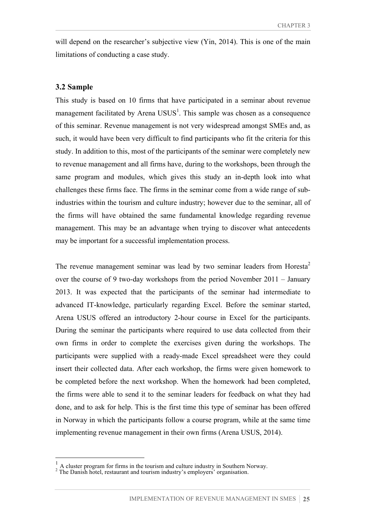will depend on the researcher's subjective view (Yin, 2014). This is one of the main limitations of conducting a case study.

#### **3.2 Sample**

This study is based on 10 firms that have participated in a seminar about revenue management facilitated by Arena  $USUS<sup>1</sup>$ . This sample was chosen as a consequence of this seminar. Revenue management is not very widespread amongst SMEs and, as such, it would have been very difficult to find participants who fit the criteria for this study. In addition to this, most of the participants of the seminar were completely new to revenue management and all firms have, during to the workshops, been through the same program and modules, which gives this study an in-depth look into what challenges these firms face. The firms in the seminar come from a wide range of subindustries within the tourism and culture industry; however due to the seminar, all of the firms will have obtained the same fundamental knowledge regarding revenue management. This may be an advantage when trying to discover what antecedents may be important for a successful implementation process.

The revenue management seminar was lead by two seminar leaders from Horesta<sup>2</sup> over the course of 9 two-day workshops from the period November 2011 – January 2013. It was expected that the participants of the seminar had intermediate to advanced IT-knowledge, particularly regarding Excel. Before the seminar started, Arena USUS offered an introductory 2-hour course in Excel for the participants. During the seminar the participants where required to use data collected from their own firms in order to complete the exercises given during the workshops. The participants were supplied with a ready-made Excel spreadsheet were they could insert their collected data. After each workshop, the firms were given homework to be completed before the next workshop. When the homework had been completed, the firms were able to send it to the seminar leaders for feedback on what they had done, and to ask for help. This is the first time this type of seminar has been offered in Norway in which the participants follow a course program, while at the same time implementing revenue management in their own firms (Arena USUS, 2014).

 $\frac{1}{2}$  A cluster program for firms in the tourism and culture industry in Southern Norway. The Danish hotel, restaurant and tourism industry's employers' organisation.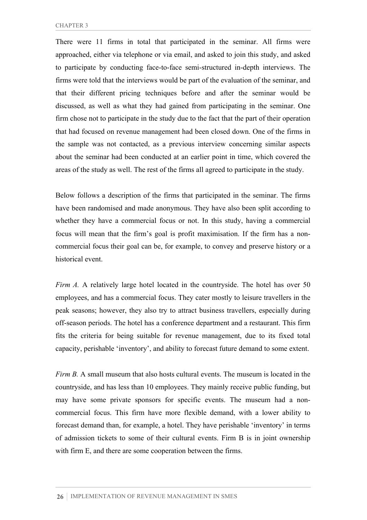There were 11 firms in total that participated in the seminar. All firms were approached, either via telephone or via email, and asked to join this study, and asked to participate by conducting face-to-face semi-structured in-depth interviews. The firms were told that the interviews would be part of the evaluation of the seminar, and that their different pricing techniques before and after the seminar would be discussed, as well as what they had gained from participating in the seminar. One firm chose not to participate in the study due to the fact that the part of their operation that had focused on revenue management had been closed down. One of the firms in the sample was not contacted, as a previous interview concerning similar aspects about the seminar had been conducted at an earlier point in time, which covered the areas of the study as well. The rest of the firms all agreed to participate in the study.

Below follows a description of the firms that participated in the seminar. The firms have been randomised and made anonymous. They have also been split according to whether they have a commercial focus or not. In this study, having a commercial focus will mean that the firm's goal is profit maximisation. If the firm has a noncommercial focus their goal can be, for example, to convey and preserve history or a historical event.

*Firm A.* A relatively large hotel located in the countryside. The hotel has over 50 employees, and has a commercial focus. They cater mostly to leisure travellers in the peak seasons; however, they also try to attract business travellers, especially during off-season periods. The hotel has a conference department and a restaurant. This firm fits the criteria for being suitable for revenue management, due to its fixed total capacity, perishable 'inventory', and ability to forecast future demand to some extent.

*Firm B.* A small museum that also hosts cultural events. The museum is located in the countryside, and has less than 10 employees. They mainly receive public funding, but may have some private sponsors for specific events. The museum had a noncommercial focus. This firm have more flexible demand, with a lower ability to forecast demand than, for example, a hotel. They have perishable 'inventory' in terms of admission tickets to some of their cultural events. Firm B is in joint ownership with firm E, and there are some cooperation between the firms.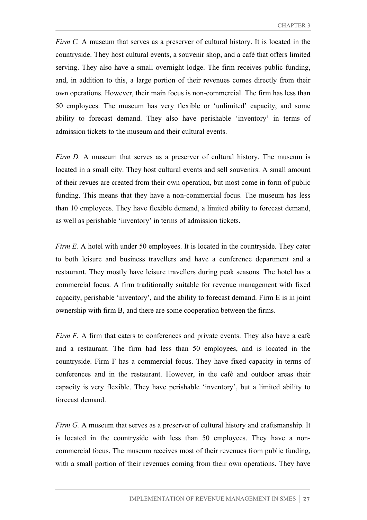*Firm C.* A museum that serves as a preserver of cultural history. It is located in the countryside. They host cultural events, a souvenir shop, and a café that offers limited serving. They also have a small overnight lodge. The firm receives public funding, and, in addition to this, a large portion of their revenues comes directly from their own operations. However, their main focus is non-commercial. The firm has less than 50 employees. The museum has very flexible or 'unlimited' capacity, and some ability to forecast demand. They also have perishable 'inventory' in terms of admission tickets to the museum and their cultural events.

*Firm D.* A museum that serves as a preserver of cultural history. The museum is located in a small city. They host cultural events and sell souvenirs. A small amount of their revues are created from their own operation, but most come in form of public funding. This means that they have a non-commercial focus. The museum has less than 10 employees. They have flexible demand, a limited ability to forecast demand, as well as perishable 'inventory' in terms of admission tickets.

*Firm E.* A hotel with under 50 employees. It is located in the countryside. They cater to both leisure and business travellers and have a conference department and a restaurant. They mostly have leisure travellers during peak seasons. The hotel has a commercial focus. A firm traditionally suitable for revenue management with fixed capacity, perishable 'inventory', and the ability to forecast demand. Firm E is in joint ownership with firm B, and there are some cooperation between the firms.

*Firm F.* A firm that caters to conferences and private events. They also have a café and a restaurant. The firm had less than 50 employees, and is located in the countryside. Firm F has a commercial focus. They have fixed capacity in terms of conferences and in the restaurant. However, in the café and outdoor areas their capacity is very flexible. They have perishable 'inventory', but a limited ability to forecast demand.

*Firm G.* A museum that serves as a preserver of cultural history and craftsmanship. It is located in the countryside with less than 50 employees. They have a noncommercial focus. The museum receives most of their revenues from public funding, with a small portion of their revenues coming from their own operations. They have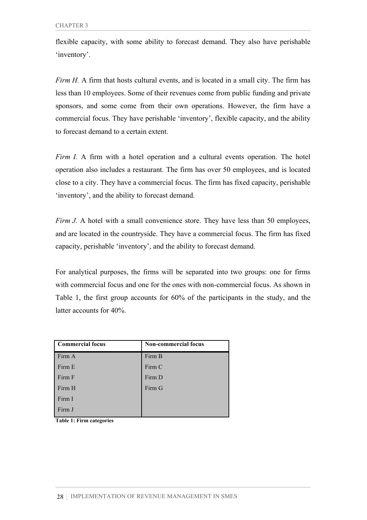flexible capacity, with some ability to forecast demand. They also have perishable 'inventory'.

*Firm H.* A firm that hosts cultural events, and is located in a small city. The firm has less than 10 employees. Some of their revenues come from public funding and private sponsors, and some come from their own operations. However, the firm have a commercial focus. They have perishable 'inventory', flexible capacity, and the ability to forecast demand to a certain extent.

*Firm I.* A firm with a hotel operation and a cultural events operation. The hotel operation also includes a restaurant. The firm has over 50 employees, and is located close to a city. They have a commercial focus. The firm has fixed capacity, perishable 'inventory', and the ability to forecast demand.

*Firm J.* A hotel with a small convenience store. They have less than 50 employees, and are located in the countryside. They have a commercial focus. The firm has fixed capacity, perishable 'inventory', and the ability to forecast demand.

For analytical purposes, the firms will be separated into two groups: one for firms with commercial focus and one for the ones with non-commercial focus. As shown in Table 1, the first group accounts for 60% of the participants in the study, and the latter accounts for 40%.

| <b>Commercial focus</b> | <b>Non-commercial focus</b> |
|-------------------------|-----------------------------|
| Firm A                  | Firm B                      |
| Firm E                  | Firm C                      |
| Firm F                  | Firm D                      |
| Firm H                  | Firm G                      |
| Firm I                  |                             |
| Firm J                  |                             |

**Table 1: Firm categories**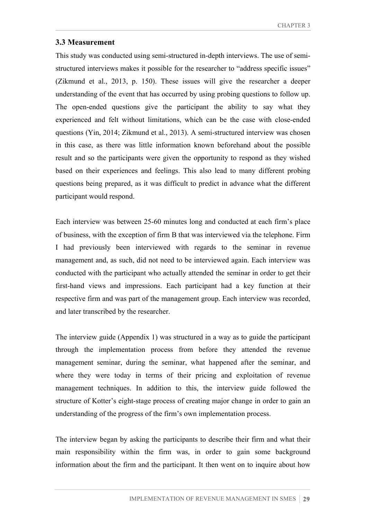# **3.3 Measurement**

This study was conducted using semi-structured in-depth interviews. The use of semistructured interviews makes it possible for the researcher to "address specific issues" (Zikmund et al., 2013, p. 150). These issues will give the researcher a deeper understanding of the event that has occurred by using probing questions to follow up. The open-ended questions give the participant the ability to say what they experienced and felt without limitations, which can be the case with close-ended questions (Yin, 2014; Zikmund et al., 2013). A semi-structured interview was chosen in this case, as there was little information known beforehand about the possible result and so the participants were given the opportunity to respond as they wished based on their experiences and feelings. This also lead to many different probing questions being prepared, as it was difficult to predict in advance what the different participant would respond.

Each interview was between 25-60 minutes long and conducted at each firm's place of business, with the exception of firm B that was interviewed via the telephone. Firm I had previously been interviewed with regards to the seminar in revenue management and, as such, did not need to be interviewed again. Each interview was conducted with the participant who actually attended the seminar in order to get their first-hand views and impressions. Each participant had a key function at their respective firm and was part of the management group. Each interview was recorded, and later transcribed by the researcher.

The interview guide (Appendix 1) was structured in a way as to guide the participant through the implementation process from before they attended the revenue management seminar, during the seminar, what happened after the seminar, and where they were today in terms of their pricing and exploitation of revenue management techniques. In addition to this, the interview guide followed the structure of Kotter's eight-stage process of creating major change in order to gain an understanding of the progress of the firm's own implementation process.

The interview began by asking the participants to describe their firm and what their main responsibility within the firm was, in order to gain some background information about the firm and the participant. It then went on to inquire about how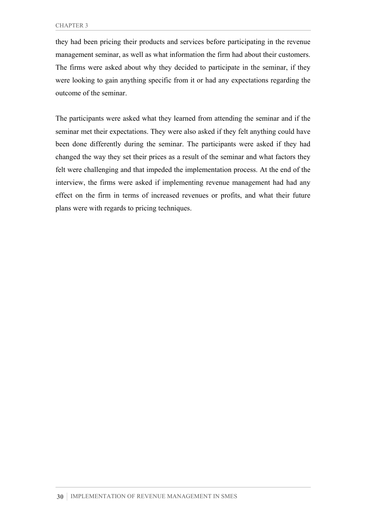they had been pricing their products and services before participating in the revenue management seminar, as well as what information the firm had about their customers. The firms were asked about why they decided to participate in the seminar, if they were looking to gain anything specific from it or had any expectations regarding the outcome of the seminar.

The participants were asked what they learned from attending the seminar and if the seminar met their expectations. They were also asked if they felt anything could have been done differently during the seminar. The participants were asked if they had changed the way they set their prices as a result of the seminar and what factors they felt were challenging and that impeded the implementation process. At the end of the interview, the firms were asked if implementing revenue management had had any effect on the firm in terms of increased revenues or profits, and what their future plans were with regards to pricing techniques.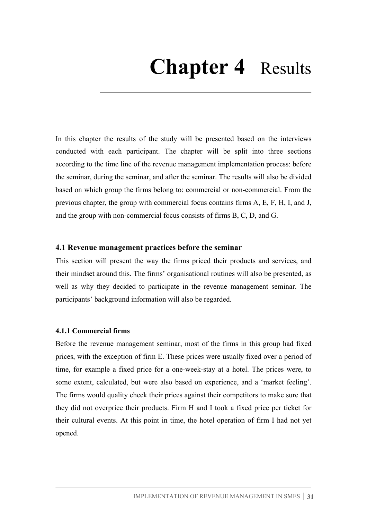# **Chapter 4** Results

In this chapter the results of the study will be presented based on the interviews conducted with each participant. The chapter will be split into three sections according to the time line of the revenue management implementation process: before the seminar, during the seminar, and after the seminar. The results will also be divided based on which group the firms belong to: commercial or non-commercial. From the previous chapter, the group with commercial focus contains firms A, E, F, H, I, and J, and the group with non-commercial focus consists of firms B, C, D, and G.

## **4.1 Revenue management practices before the seminar**

This section will present the way the firms priced their products and services, and their mindset around this. The firms' organisational routines will also be presented, as well as why they decided to participate in the revenue management seminar. The participants' background information will also be regarded.

#### **4.1.1 Commercial firms**

Before the revenue management seminar, most of the firms in this group had fixed prices, with the exception of firm E. These prices were usually fixed over a period of time, for example a fixed price for a one-week-stay at a hotel. The prices were, to some extent, calculated, but were also based on experience, and a 'market feeling'. The firms would quality check their prices against their competitors to make sure that they did not overprice their products. Firm H and I took a fixed price per ticket for their cultural events. At this point in time, the hotel operation of firm I had not yet opened.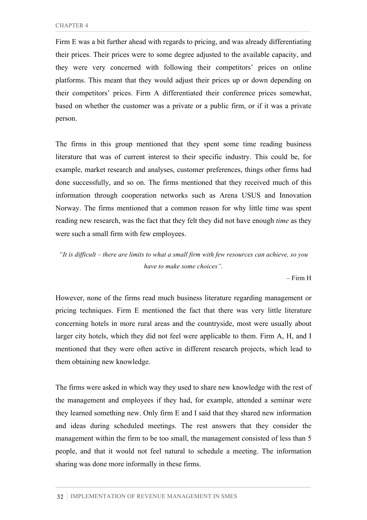Firm E was a bit further ahead with regards to pricing, and was already differentiating their prices. Their prices were to some degree adjusted to the available capacity, and they were very concerned with following their competitors' prices on online platforms. This meant that they would adjust their prices up or down depending on their competitors' prices. Firm A differentiated their conference prices somewhat, based on whether the customer was a private or a public firm, or if it was a private person.

The firms in this group mentioned that they spent some time reading business literature that was of current interest to their specific industry. This could be, for example, market research and analyses, customer preferences, things other firms had done successfully, and so on. The firms mentioned that they received much of this information through cooperation networks such as Arena USUS and Innovation Norway. The firms mentioned that a common reason for why little time was spent reading new research, was the fact that they felt they did not have enough *time* as they were such a small firm with few employees.

*"It is difficult – there are limits to what a small firm with few resources can achieve, so you have to make some choices".*

– Firm H

However, none of the firms read much business literature regarding management or pricing techniques. Firm E mentioned the fact that there was very little literature concerning hotels in more rural areas and the countryside, most were usually about larger city hotels, which they did not feel were applicable to them. Firm A, H, and I mentioned that they were often active in different research projects, which lead to them obtaining new knowledge.

The firms were asked in which way they used to share new knowledge with the rest of the management and employees if they had, for example, attended a seminar were they learned something new. Only firm E and I said that they shared new information and ideas during scheduled meetings. The rest answers that they consider the management within the firm to be too small, the management consisted of less than 5 people, and that it would not feel natural to schedule a meeting. The information sharing was done more informally in these firms.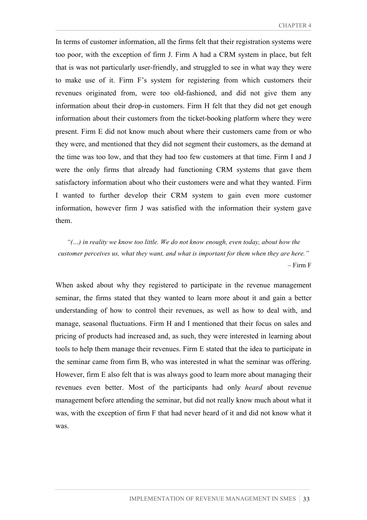In terms of customer information, all the firms felt that their registration systems were too poor, with the exception of firm J. Firm A had a CRM system in place, but felt that is was not particularly user-friendly, and struggled to see in what way they were to make use of it. Firm F's system for registering from which customers their revenues originated from, were too old-fashioned, and did not give them any information about their drop-in customers. Firm H felt that they did not get enough information about their customers from the ticket-booking platform where they were present. Firm E did not know much about where their customers came from or who they were, and mentioned that they did not segment their customers, as the demand at the time was too low, and that they had too few customers at that time. Firm I and J were the only firms that already had functioning CRM systems that gave them satisfactory information about who their customers were and what they wanted. Firm I wanted to further develop their CRM system to gain even more customer information, however firm J was satisfied with the information their system gave them.

*"(…) in reality we know too little. We do not know enough, even today, about how the customer perceives us, what they want, and what is important for them when they are here."* – Firm F

When asked about why they registered to participate in the revenue management seminar, the firms stated that they wanted to learn more about it and gain a better understanding of how to control their revenues, as well as how to deal with, and manage, seasonal fluctuations. Firm H and I mentioned that their focus on sales and pricing of products had increased and, as such, they were interested in learning about tools to help them manage their revenues. Firm E stated that the idea to participate in the seminar came from firm B, who was interested in what the seminar was offering. However, firm E also felt that is was always good to learn more about managing their revenues even better. Most of the participants had only *heard* about revenue management before attending the seminar, but did not really know much about what it was, with the exception of firm F that had never heard of it and did not know what it was.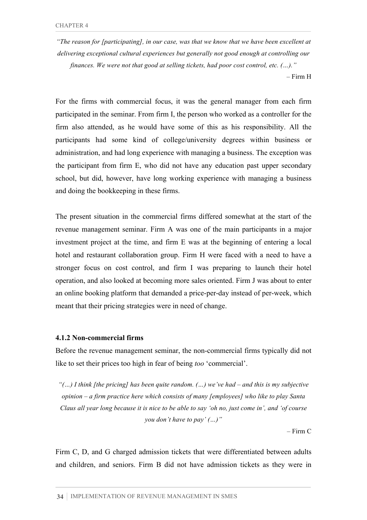*"The reason for [participating], in our case, was that we know that we have been excellent at delivering exceptional cultural experiences but generally not good enough at controlling our finances. We were not that good at selling tickets, had poor cost control, etc. (…)."*

– Firm H

For the firms with commercial focus, it was the general manager from each firm participated in the seminar. From firm I, the person who worked as a controller for the firm also attended, as he would have some of this as his responsibility. All the participants had some kind of college/university degrees within business or administration, and had long experience with managing a business. The exception was the participant from firm E, who did not have any education past upper secondary school, but did, however, have long working experience with managing a business and doing the bookkeeping in these firms.

The present situation in the commercial firms differed somewhat at the start of the revenue management seminar. Firm A was one of the main participants in a major investment project at the time, and firm E was at the beginning of entering a local hotel and restaurant collaboration group. Firm H were faced with a need to have a stronger focus on cost control, and firm I was preparing to launch their hotel operation, and also looked at becoming more sales oriented. Firm J was about to enter an online booking platform that demanded a price-per-day instead of per-week, which meant that their pricing strategies were in need of change.

#### **4.1.2 Non-commercial firms**

Before the revenue management seminar, the non-commercial firms typically did not like to set their prices too high in fear of being *too* 'commercial'.

*"(…) I think [the pricing] has been quite random. (…) we've had – and this is my subjective opinion – a firm practice here which consists of many [employees] who like to play Santa Claus all year long because it is nice to be able to say 'oh no, just come in', and 'of course you don't have to pay' (…)"*

 $-$  Firm  $C$ 

Firm C, D, and G charged admission tickets that were differentiated between adults and children, and seniors. Firm B did not have admission tickets as they were in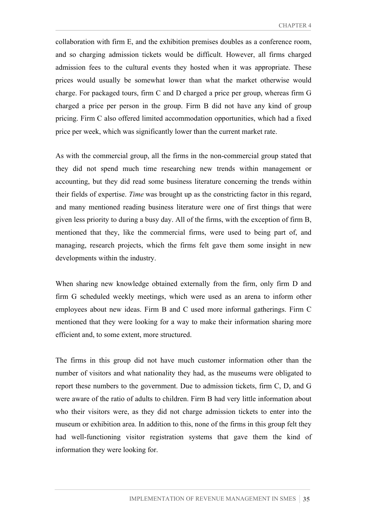collaboration with firm E, and the exhibition premises doubles as a conference room, and so charging admission tickets would be difficult. However, all firms charged admission fees to the cultural events they hosted when it was appropriate. These prices would usually be somewhat lower than what the market otherwise would charge. For packaged tours, firm C and D charged a price per group, whereas firm G charged a price per person in the group. Firm B did not have any kind of group pricing. Firm C also offered limited accommodation opportunities, which had a fixed price per week, which was significantly lower than the current market rate.

As with the commercial group, all the firms in the non-commercial group stated that they did not spend much time researching new trends within management or accounting, but they did read some business literature concerning the trends within their fields of expertise. *Time* was brought up as the constricting factor in this regard, and many mentioned reading business literature were one of first things that were given less priority to during a busy day. All of the firms, with the exception of firm B, mentioned that they, like the commercial firms, were used to being part of, and managing, research projects, which the firms felt gave them some insight in new developments within the industry.

When sharing new knowledge obtained externally from the firm, only firm D and firm G scheduled weekly meetings, which were used as an arena to inform other employees about new ideas. Firm B and C used more informal gatherings. Firm C mentioned that they were looking for a way to make their information sharing more efficient and, to some extent, more structured.

The firms in this group did not have much customer information other than the number of visitors and what nationality they had, as the museums were obligated to report these numbers to the government. Due to admission tickets, firm C, D, and G were aware of the ratio of adults to children. Firm B had very little information about who their visitors were, as they did not charge admission tickets to enter into the museum or exhibition area. In addition to this, none of the firms in this group felt they had well-functioning visitor registration systems that gave them the kind of information they were looking for.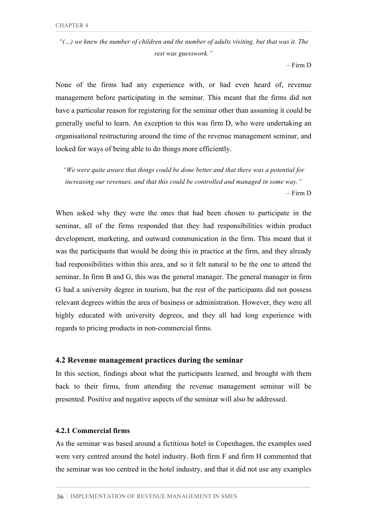*"(…) we knew the number of children and the number of adults visiting, but that was it. The rest was guesswork."*

– Firm D

None of the firms had any experience with, or had even heard of, revenue management before participating in the seminar. This meant that the firms did not have a particular reason for registering for the seminar other than assuming it could be generally useful to learn. An exception to this was firm D, who were undertaking an organisational restructuring around the time of the revenue management seminar, and looked for ways of being able to do things more efficiently.

*"We were quite aware that things could be done better and that there was a potential for increasing our revenues, and that this could be controlled and managed in some way."* – Firm D

When asked why they were the ones that had been chosen to participate in the seminar, all of the firms responded that they had responsibilities within product development, marketing, and outward communication in the firm. This meant that it was the participants that would be doing this in practice at the firm, and they already had responsibilities within this area, and so it felt natural to be the one to attend the seminar. In firm B and G, this was the general manager. The general manager in firm G had a university degree in tourism, but the rest of the participants did not possess relevant degrees within the area of business or administration. However, they were all highly educated with university degrees, and they all had long experience with regards to pricing products in non-commercial firms.

#### **4.2 Revenue management practices during the seminar**

In this section, findings about what the participants learned, and brought with them back to their firms, from attending the revenue management seminar will be presented. Positive and negative aspects of the seminar will also be addressed.

#### **4.2.1 Commercial firms**

As the seminar was based around a fictitious hotel in Copenhagen, the examples used were very centred around the hotel industry. Both firm F and firm H commented that the seminar was too centred in the hotel industry, and that it did not use any examples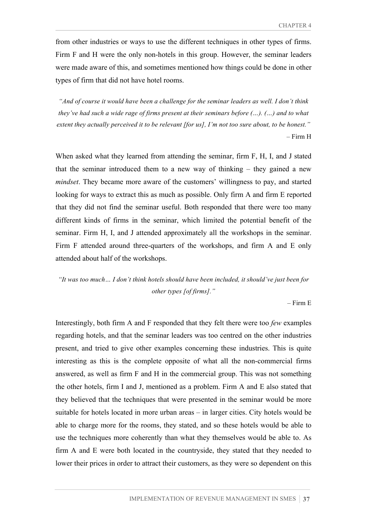from other industries or ways to use the different techniques in other types of firms. Firm F and H were the only non-hotels in this group. However, the seminar leaders were made aware of this, and sometimes mentioned how things could be done in other types of firm that did not have hotel rooms.

*"And of course it would have been a challenge for the seminar leaders as well. I don't think they've had such a wide rage of firms present at their seminars before (…). (…) and to what extent they actually perceived it to be relevant [for us], I'm not too sure about, to be honest."* – Firm H

When asked what they learned from attending the seminar, firm F, H, I, and J stated that the seminar introduced them to a new way of thinking – they gained a new *mindset*. They became more aware of the customers' willingness to pay, and started looking for ways to extract this as much as possible. Only firm A and firm E reported that they did not find the seminar useful. Both responded that there were too many different kinds of firms in the seminar, which limited the potential benefit of the seminar. Firm H, I, and J attended approximately all the workshops in the seminar. Firm F attended around three-quarters of the workshops, and firm A and E only attended about half of the workshops.

# *"It was too much… I don't think hotels should have been included, it should've just been for other types [of firms]."*

– Firm E

Interestingly, both firm A and F responded that they felt there were too *few* examples regarding hotels, and that the seminar leaders was too centred on the other industries present, and tried to give other examples concerning these industries. This is quite interesting as this is the complete opposite of what all the non-commercial firms answered, as well as firm F and H in the commercial group. This was not something the other hotels, firm I and J, mentioned as a problem. Firm A and E also stated that they believed that the techniques that were presented in the seminar would be more suitable for hotels located in more urban areas – in larger cities. City hotels would be able to charge more for the rooms, they stated, and so these hotels would be able to use the techniques more coherently than what they themselves would be able to. As firm A and E were both located in the countryside, they stated that they needed to lower their prices in order to attract their customers, as they were so dependent on this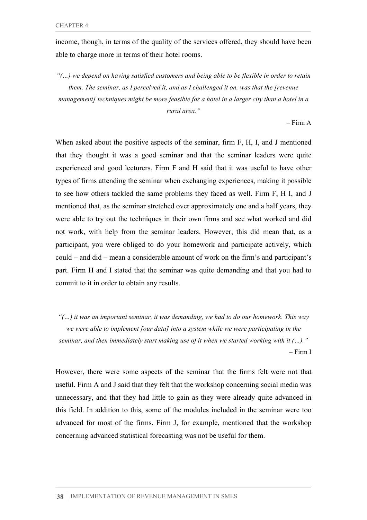income, though, in terms of the quality of the services offered, they should have been able to charge more in terms of their hotel rooms.

*"(…) we depend on having satisfied customers and being able to be flexible in order to retain them. The seminar, as I perceived it, and as I challenged it on, was that the [revenue management] techniques might be more feasible for a hotel in a larger city than a hotel in a rural area."*

– Firm A

When asked about the positive aspects of the seminar, firm F, H, I, and J mentioned that they thought it was a good seminar and that the seminar leaders were quite experienced and good lecturers. Firm F and H said that it was useful to have other types of firms attending the seminar when exchanging experiences, making it possible to see how others tackled the same problems they faced as well. Firm F, H I, and J mentioned that, as the seminar stretched over approximately one and a half years, they were able to try out the techniques in their own firms and see what worked and did not work, with help from the seminar leaders. However, this did mean that, as a participant, you were obliged to do your homework and participate actively, which could – and did – mean a considerable amount of work on the firm's and participant's part. Firm H and I stated that the seminar was quite demanding and that you had to commit to it in order to obtain any results.

*"(…) it was an important seminar, it was demanding, we had to do our homework. This way we were able to implement [our data] into a system while we were participating in the seminar, and then immediately start making use of it when we started working with it (…)."*  – Firm I

However, there were some aspects of the seminar that the firms felt were not that useful. Firm A and J said that they felt that the workshop concerning social media was unnecessary, and that they had little to gain as they were already quite advanced in this field. In addition to this, some of the modules included in the seminar were too advanced for most of the firms. Firm J, for example, mentioned that the workshop concerning advanced statistical forecasting was not be useful for them.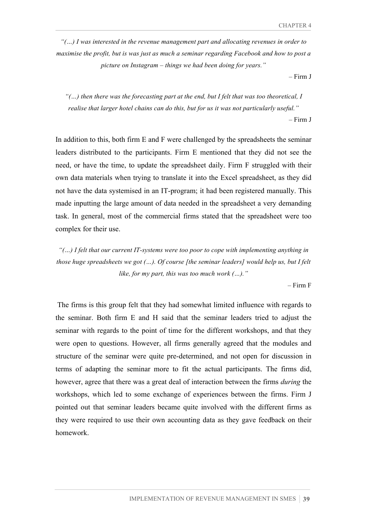*"(…) I was interested in the revenue management part and allocating revenues in order to maximise the profit, but is was just as much a seminar regarding Facebook and how to post a picture on Instagram – things we had been doing for years."*

– Firm J

*"(…) then there was the forecasting part at the end, but I felt that was too theoretical, I realise that larger hotel chains can do this, but for us it was not particularly useful."*

– Firm J

In addition to this, both firm E and F were challenged by the spreadsheets the seminar leaders distributed to the participants. Firm E mentioned that they did not see the need, or have the time, to update the spreadsheet daily. Firm F struggled with their own data materials when trying to translate it into the Excel spreadsheet, as they did not have the data systemised in an IT-program; it had been registered manually. This made inputting the large amount of data needed in the spreadsheet a very demanding task. In general, most of the commercial firms stated that the spreadsheet were too complex for their use.

*"(…) I felt that our current IT-systems were too poor to cope with implementing anything in those huge spreadsheets we got (…). Of course [the seminar leaders] would help us, but I felt like, for my part, this was too much work (…)."*

– Firm F

The firms is this group felt that they had somewhat limited influence with regards to the seminar. Both firm E and H said that the seminar leaders tried to adjust the seminar with regards to the point of time for the different workshops, and that they were open to questions. However, all firms generally agreed that the modules and structure of the seminar were quite pre-determined, and not open for discussion in terms of adapting the seminar more to fit the actual participants. The firms did, however, agree that there was a great deal of interaction between the firms *during* the workshops, which led to some exchange of experiences between the firms. Firm J pointed out that seminar leaders became quite involved with the different firms as they were required to use their own accounting data as they gave feedback on their homework.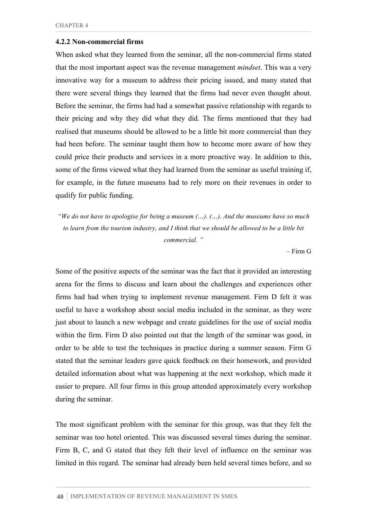#### **4.2.2 Non-commercial firms**

When asked what they learned from the seminar, all the non-commercial firms stated that the most important aspect was the revenue management *mindset*. This was a very innovative way for a museum to address their pricing issued, and many stated that there were several things they learned that the firms had never even thought about. Before the seminar, the firms had had a somewhat passive relationship with regards to their pricing and why they did what they did. The firms mentioned that they had realised that museums should be allowed to be a little bit more commercial than they had been before. The seminar taught them how to become more aware of how they could price their products and services in a more proactive way. In addition to this, some of the firms viewed what they had learned from the seminar as useful training if, for example, in the future museums had to rely more on their revenues in order to qualify for public funding.

*"We do not have to apologise for being a museum (…). (…). And the museums have so much to learn from the tourism industry, and I think that we should be allowed to be a little bit commercial. "*

– Firm G

Some of the positive aspects of the seminar was the fact that it provided an interesting arena for the firms to discuss and learn about the challenges and experiences other firms had had when trying to implement revenue management. Firm D felt it was useful to have a workshop about social media included in the seminar, as they were just about to launch a new webpage and create guidelines for the use of social media within the firm. Firm D also pointed out that the length of the seminar was good, in order to be able to test the techniques in practice during a summer season. Firm G stated that the seminar leaders gave quick feedback on their homework, and provided detailed information about what was happening at the next workshop, which made it easier to prepare. All four firms in this group attended approximately every workshop during the seminar.

The most significant problem with the seminar for this group, was that they felt the seminar was too hotel oriented. This was discussed several times during the seminar. Firm B, C, and G stated that they felt their level of influence on the seminar was limited in this regard. The seminar had already been held several times before, and so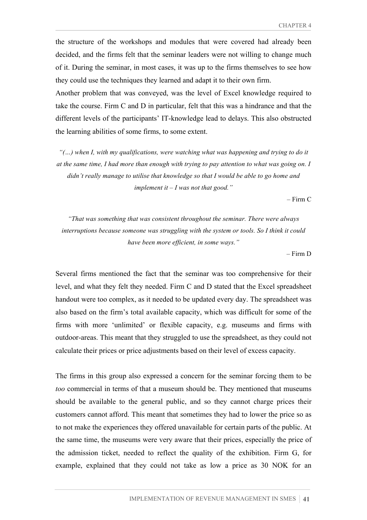the structure of the workshops and modules that were covered had already been decided, and the firms felt that the seminar leaders were not willing to change much of it. During the seminar, in most cases, it was up to the firms themselves to see how they could use the techniques they learned and adapt it to their own firm.

Another problem that was conveyed, was the level of Excel knowledge required to take the course. Firm C and D in particular, felt that this was a hindrance and that the different levels of the participants' IT-knowledge lead to delays. This also obstructed the learning abilities of some firms, to some extent.

*"(…) when I, with my qualifications, were watching what was happening and trying to do it at the same time, I had more than enough with trying to pay attention to what was going on. I didn't really manage to utilise that knowledge so that I would be able to go home and implement it*  $-I$  *was not that good.*"

– Firm C

*"That was something that was consistent throughout the seminar. There were always interruptions because someone was struggling with the system or tools. So I think it could have been more efficient, in some ways."*

– Firm D

Several firms mentioned the fact that the seminar was too comprehensive for their level, and what they felt they needed. Firm C and D stated that the Excel spreadsheet handout were too complex, as it needed to be updated every day. The spreadsheet was also based on the firm's total available capacity, which was difficult for some of the firms with more 'unlimited' or flexible capacity, e.g. museums and firms with outdoor-areas. This meant that they struggled to use the spreadsheet, as they could not calculate their prices or price adjustments based on their level of excess capacity.

The firms in this group also expressed a concern for the seminar forcing them to be *too* commercial in terms of that a museum should be. They mentioned that museums should be available to the general public, and so they cannot charge prices their customers cannot afford. This meant that sometimes they had to lower the price so as to not make the experiences they offered unavailable for certain parts of the public. At the same time, the museums were very aware that their prices, especially the price of the admission ticket, needed to reflect the quality of the exhibition. Firm G, for example, explained that they could not take as low a price as 30 NOK for an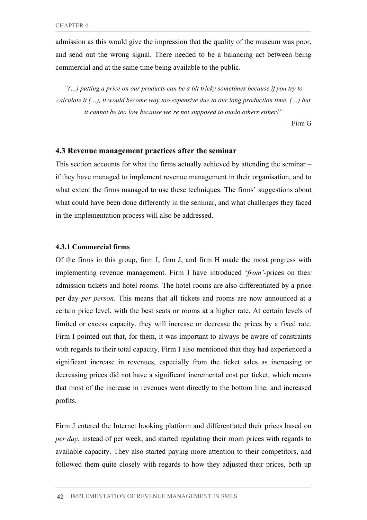admission as this would give the impression that the quality of the museum was poor, and send out the wrong signal. There needed to be a balancing act between being commercial and at the same time being available to the public.

*"(…) putting a price on our products can be a bit tricky sometimes because if you try to calculate it (…), it would become way too expensive due to our long production time. (…) but it cannot be too low because we're not supposed to outdo others either!"*

– Firm G

#### **4.3 Revenue management practices after the seminar**

This section accounts for what the firms actually achieved by attending the seminar – if they have managed to implement revenue management in their organisation, and to what extent the firms managed to use these techniques. The firms' suggestions about what could have been done differently in the seminar, and what challenges they faced in the implementation process will also be addressed.

#### **4.3.1 Commercial firms**

Of the firms in this group, firm I, firm J, and firm H made the most progress with implementing revenue management. Firm I have introduced '*from'*-prices on their admission tickets and hotel rooms. The hotel rooms are also differentiated by a price per day *per person*. This means that all tickets and rooms are now announced at a certain price level, with the best seats or rooms at a higher rate. At certain levels of limited or excess capacity, they will increase or decrease the prices by a fixed rate. Firm I pointed out that, for them, it was important to always be aware of constraints with regards to their total capacity. Firm I also mentioned that they had experienced a significant increase in revenues, especially from the ticket sales as increasing or decreasing prices did not have a significant incremental cost per ticket, which means that most of the increase in revenues went directly to the bottom line, and increased profits.

Firm J entered the Internet booking platform and differentiated their prices based on *per day*, instead of per week, and started regulating their room prices with regards to available capacity. They also started paying more attention to their competitors, and followed them quite closely with regards to how they adjusted their prices, both up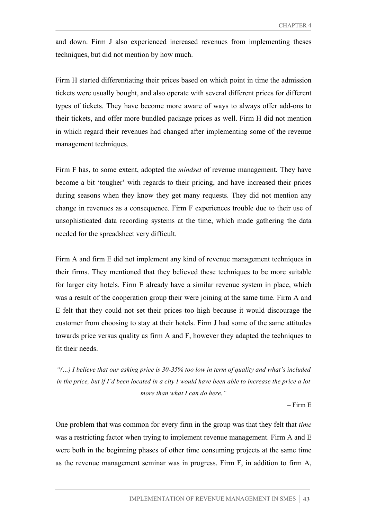and down. Firm J also experienced increased revenues from implementing theses techniques, but did not mention by how much.

Firm H started differentiating their prices based on which point in time the admission tickets were usually bought, and also operate with several different prices for different types of tickets. They have become more aware of ways to always offer add-ons to their tickets, and offer more bundled package prices as well. Firm H did not mention in which regard their revenues had changed after implementing some of the revenue management techniques.

Firm F has, to some extent, adopted the *mindset* of revenue management. They have become a bit 'tougher' with regards to their pricing, and have increased their prices during seasons when they know they get many requests. They did not mention any change in revenues as a consequence. Firm F experiences trouble due to their use of unsophisticated data recording systems at the time, which made gathering the data needed for the spreadsheet very difficult.

Firm A and firm E did not implement any kind of revenue management techniques in their firms. They mentioned that they believed these techniques to be more suitable for larger city hotels. Firm E already have a similar revenue system in place, which was a result of the cooperation group their were joining at the same time. Firm A and E felt that they could not set their prices too high because it would discourage the customer from choosing to stay at their hotels. Firm J had some of the same attitudes towards price versus quality as firm A and F, however they adapted the techniques to fit their needs.

*"(…) I believe that our asking price is 30-35% too low in term of quality and what's included in the price, but if I'd been located in a city I would have been able to increase the price a lot more than what I can do here."*

– Firm E

One problem that was common for every firm in the group was that they felt that *time* was a restricting factor when trying to implement revenue management. Firm A and E were both in the beginning phases of other time consuming projects at the same time as the revenue management seminar was in progress. Firm F, in addition to firm A,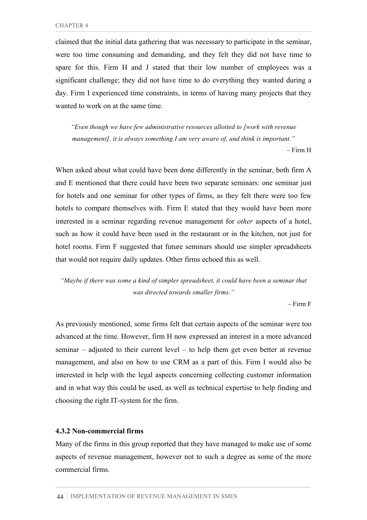claimed that the initial data gathering that was necessary to participate in the seminar, were too time consuming and demanding, and they felt they did not have time to spare for this. Firm H and J stated that their low number of employees was a significant challenge; they did not have time to do everything they wanted during a day. Firm I experienced time constraints, in terms of having many projects that they wanted to work on at the same time.

*"Even though we have few administrative resources allotted to [work with revenue management], it is always something I am very aware of, and think is important."* – Firm H

When asked about what could have been done differently in the seminar, both firm A and E mentioned that there could have been two separate seminars: one seminar just for hotels and one seminar for other types of firms, as they felt there were too few hotels to compare themselves with. Firm E stated that they would have been more interested in a seminar regarding revenue management for *other* aspects of a hotel, such as how it could have been used in the restaurant or in the kitchen, not just for hotel rooms. Firm F suggested that future seminars should use simpler spreadsheets that would not require daily updates. Other firms echoed this as well.

*"Maybe if there was some a kind of simpler spreadsheet, it could have been a seminar that was directed towards smaller firms."*

– Firm F

As previously mentioned, some firms felt that certain aspects of the seminar were too advanced at the time. However, firm H now expressed an interest in a more advanced seminar – adjusted to their current level – to help them get even better at revenue management, and also on how to use CRM as a part of this. Firm I would also be interested in help with the legal aspects concerning collecting customer information and in what way this could be used, as well as technical expertise to help finding and choosing the right IT-system for the firm.

#### **4.3.2 Non-commercial firms**

Many of the firms in this group reported that they have managed to make use of some aspects of revenue management, however not to such a degree as some of the more commercial firms.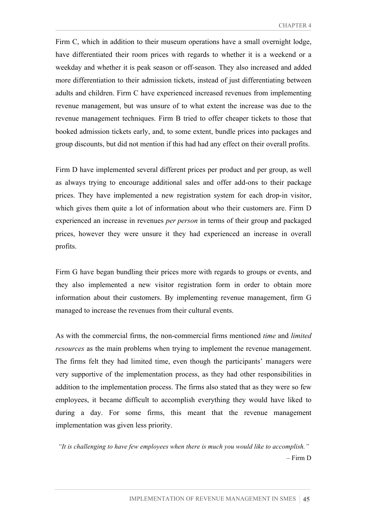Firm C, which in addition to their museum operations have a small overnight lodge, have differentiated their room prices with regards to whether it is a weekend or a weekday and whether it is peak season or off-season. They also increased and added more differentiation to their admission tickets, instead of just differentiating between adults and children. Firm C have experienced increased revenues from implementing revenue management, but was unsure of to what extent the increase was due to the revenue management techniques. Firm B tried to offer cheaper tickets to those that booked admission tickets early, and, to some extent, bundle prices into packages and group discounts, but did not mention if this had had any effect on their overall profits.

Firm D have implemented several different prices per product and per group, as well as always trying to encourage additional sales and offer add-ons to their package prices. They have implemented a new registration system for each drop-in visitor, which gives them quite a lot of information about who their customers are. Firm D experienced an increase in revenues *per person* in terms of their group and packaged prices, however they were unsure it they had experienced an increase in overall profits.

Firm G have began bundling their prices more with regards to groups or events, and they also implemented a new visitor registration form in order to obtain more information about their customers. By implementing revenue management, firm G managed to increase the revenues from their cultural events.

As with the commercial firms, the non-commercial firms mentioned *time* and *limited resources* as the main problems when trying to implement the revenue management. The firms felt they had limited time, even though the participants' managers were very supportive of the implementation process, as they had other responsibilities in addition to the implementation process. The firms also stated that as they were so few employees, it became difficult to accomplish everything they would have liked to during a day. For some firms, this meant that the revenue management implementation was given less priority.

*"It is challenging to have few employees when there is much you would like to accomplish."* – Firm D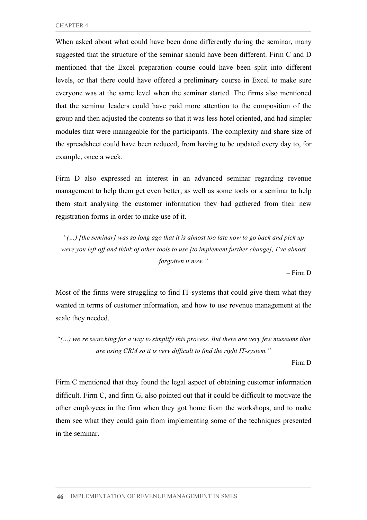When asked about what could have been done differently during the seminar, many suggested that the structure of the seminar should have been different. Firm C and D mentioned that the Excel preparation course could have been split into different levels, or that there could have offered a preliminary course in Excel to make sure everyone was at the same level when the seminar started. The firms also mentioned that the seminar leaders could have paid more attention to the composition of the group and then adjusted the contents so that it was less hotel oriented, and had simpler modules that were manageable for the participants. The complexity and share size of the spreadsheet could have been reduced, from having to be updated every day to, for example, once a week.

Firm D also expressed an interest in an advanced seminar regarding revenue management to help them get even better, as well as some tools or a seminar to help them start analysing the customer information they had gathered from their new registration forms in order to make use of it.

*"(…) [the seminar] was so long ago that it is almost too late now to go back and pick up were you left off and think of other tools to use [to implement further change], I've almost forgotten it now."*

– Firm D

Most of the firms were struggling to find IT-systems that could give them what they wanted in terms of customer information, and how to use revenue management at the scale they needed.

*"(…) we're searching for a way to simplify this process. But there are very few museums that are using CRM so it is very difficult to find the right IT-system."*

– Firm D

Firm C mentioned that they found the legal aspect of obtaining customer information difficult. Firm C, and firm G, also pointed out that it could be difficult to motivate the other employees in the firm when they got home from the workshops, and to make them see what they could gain from implementing some of the techniques presented in the seminar.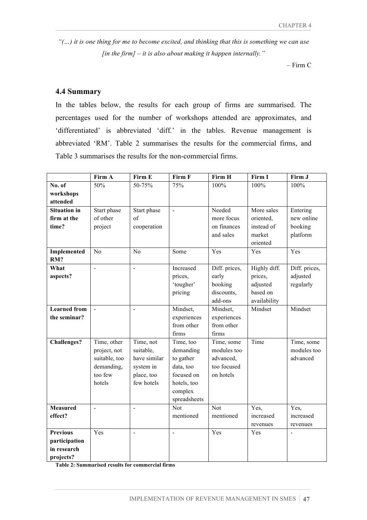*"(…) it is one thing for me to become excited, and thinking that this is something we can use [in the firm] – it is also about making it happen internally."*

– Firm C

## **4.4 Summary**

In the tables below, the results for each group of firms are summarised. The percentages used for the number of workshops attended are approximates, and 'differentiated' is abbreviated 'diff.' in the tables. Revenue management is abbreviated 'RM'. Table 2 summarises the results for the commercial firms, and Table 3 summarises the results for the non-commercial firms.

|                     | Firm A              | Firm E         | Firm F         | Firm H        | Firm I       | Firm J        |
|---------------------|---------------------|----------------|----------------|---------------|--------------|---------------|
| No. of              | 50%                 | 50-75%         | 75%            | 100%          | 100%         | 100%          |
| workshops           |                     |                |                |               |              |               |
| attended            |                     |                |                |               |              |               |
| <b>Situation</b> in | Start phase         | Start phase    | $\blacksquare$ | Needed        | More sales   | Entering      |
| firm at the         | of other            | of             |                | more focus    | oriented,    | new online    |
| time?               | project             | cooperation    |                | on finances   | instead of   | booking       |
|                     |                     |                |                | and sales     | market       | platform      |
|                     |                     |                |                |               | oriented     |               |
| Implemented         | N <sub>o</sub>      | N <sub>o</sub> | Some           | Yes           | Yes          | Yes           |
| RM?                 |                     |                |                |               |              |               |
| What                | $\overline{a}$      | L,             | Increased      | Diff. prices, | Highly diff. | Diff. prices, |
| aspects?            |                     |                | prices,        | early         | prices,      | adjusted      |
|                     |                     |                | 'tougher'      | booking       | adjusted     | regularly     |
|                     |                     |                | pricing        | discounts,    | based on     |               |
|                     |                     |                |                | add-ons       | availability |               |
| <b>Learned</b> from | $\bar{\phantom{a}}$ | $\overline{a}$ | Mindset,       | Mindset,      | Mindset      | Mindset       |
| the seminar?        |                     |                | experiences    | experiences   |              |               |
|                     |                     |                | from other     | from other    |              |               |
|                     |                     |                | firms          | firms         |              |               |
| <b>Challenges?</b>  | Time, other         | Time, not      | Time, too      | Time, some    | Time         | Time, some    |
|                     | project, not        | suitable,      | demanding      | modules too   |              | modules too   |
|                     | suitable, too       | have similar   | to gather      | advanced,     |              | advanced      |
|                     | demanding,          | system in      | data, too      | too focused   |              |               |
|                     | too few             | place, too     | focused on     | on hotels     |              |               |
|                     | hotels              | few hotels     | hotels, too    |               |              |               |
|                     |                     |                | complex        |               |              |               |
|                     |                     |                | spreadsheets   |               |              |               |
| <b>Measured</b>     | $\overline{a}$      | $\overline{a}$ | Not            | Not           | Yes,         | Yes,          |
| effect?             |                     |                | mentioned      | mentioned     | increased    | increased     |
|                     |                     |                |                |               | revenues     | revenues      |
| <b>Previous</b>     | Yes                 | L,             | $\blacksquare$ | Yes           | Yes          |               |
| participation       |                     |                |                |               |              |               |
| in research         |                     |                |                |               |              |               |
| projects?           |                     |                |                |               |              |               |

**Table 2: Summarised results for commercial firms**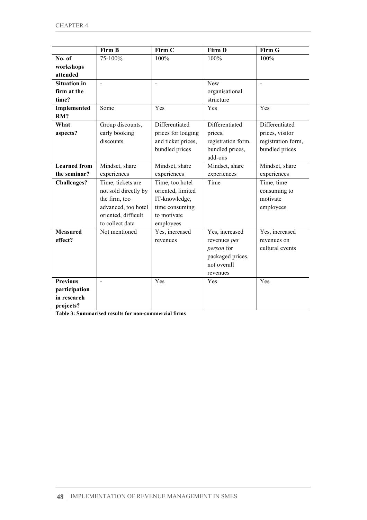|                                                              | Firm B                                                                                                                      | Firm C                                                                                              | Firm D                                                                                      | Firm G                                                                    |
|--------------------------------------------------------------|-----------------------------------------------------------------------------------------------------------------------------|-----------------------------------------------------------------------------------------------------|---------------------------------------------------------------------------------------------|---------------------------------------------------------------------------|
| No. of                                                       | 75-100%                                                                                                                     | 100%                                                                                                | 100%                                                                                        | 100%                                                                      |
| workshops<br>attended                                        |                                                                                                                             |                                                                                                     |                                                                                             |                                                                           |
| <b>Situation in</b><br>firm at the<br>time?                  |                                                                                                                             | $\blacksquare$                                                                                      | New<br>organisational<br>structure                                                          |                                                                           |
| Implemented<br>RM?                                           | Some                                                                                                                        | Yes                                                                                                 | Yes                                                                                         | Yes                                                                       |
| What<br>aspects?                                             | Group discounts,<br>early booking<br>discounts                                                                              | Differentiated<br>prices for lodging<br>and ticket prices,<br>bundled prices                        | Differentiated<br>prices,<br>registration form,<br>bundled prices,<br>add-ons               | Differentiated<br>prices, visitor<br>registration form,<br>bundled prices |
| <b>Learned</b> from<br>the seminar?                          | Mindset, share<br>experiences                                                                                               | Mindset, share<br>experiences                                                                       | Mindset, share<br>experiences                                                               | Mindset, share<br>experiences                                             |
| <b>Challenges?</b>                                           | Time, tickets are<br>not sold directly by<br>the firm, too<br>advanced, too hotel<br>oriented, difficult<br>to collect data | Time, too hotel<br>oriented, limited<br>IT-knowledge,<br>time consuming<br>to motivate<br>employees | Time                                                                                        | Time, time<br>consuming to<br>motivate<br>employees                       |
| <b>Measured</b><br>effect?                                   | Not mentioned                                                                                                               | Yes, increased<br>revenues                                                                          | Yes, increased<br>revenues per<br>person for<br>packaged prices,<br>not overall<br>revenues | Yes, increased<br>revenues on<br>cultural events                          |
| <b>Previous</b><br>participation<br>in research<br>projects? |                                                                                                                             | Yes                                                                                                 | Yes                                                                                         | Yes                                                                       |

**Table 3: Summarised results for non-commercial firms**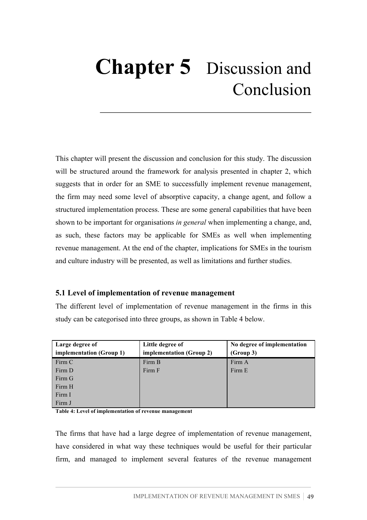# **Chapter 5** Discussion and Conclusion

This chapter will present the discussion and conclusion for this study. The discussion will be structured around the framework for analysis presented in chapter 2, which suggests that in order for an SME to successfully implement revenue management, the firm may need some level of absorptive capacity, a change agent, and follow a structured implementation process. These are some general capabilities that have been shown to be important for organisations *in general* when implementing a change, and, as such, these factors may be applicable for SMEs as well when implementing revenue management. At the end of the chapter, implications for SMEs in the tourism and culture industry will be presented, as well as limitations and further studies.

#### **5.1 Level of implementation of revenue management**

The different level of implementation of revenue management in the firms in this study can be categorised into three groups, as shown in Table 4 below.

| Large degree of          | Little degree of         | No degree of implementation |
|--------------------------|--------------------------|-----------------------------|
| implementation (Group 1) | implementation (Group 2) | (Group 3)                   |
| Firm C                   | Firm B                   | Firm A                      |
| Firm D                   | Firm F                   | Firm E                      |
| Firm G                   |                          |                             |
| Firm H                   |                          |                             |
| Firm I                   |                          |                             |
| Firm J                   |                          |                             |

**Table 4: Level of implementation of revenue management**

The firms that have had a large degree of implementation of revenue management, have considered in what way these techniques would be useful for their particular firm, and managed to implement several features of the revenue management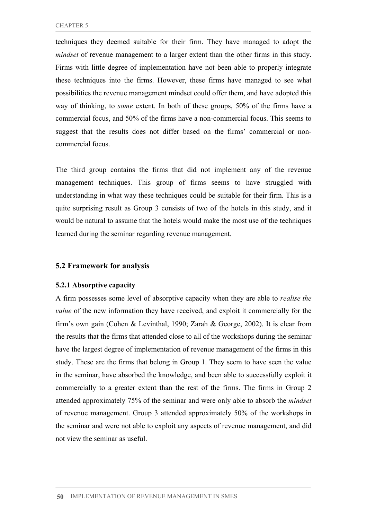techniques they deemed suitable for their firm. They have managed to adopt the *mindset* of revenue management to a larger extent than the other firms in this study. Firms with little degree of implementation have not been able to properly integrate these techniques into the firms. However, these firms have managed to see what possibilities the revenue management mindset could offer them, and have adopted this way of thinking, to *some* extent. In both of these groups, 50% of the firms have a commercial focus, and 50% of the firms have a non-commercial focus. This seems to suggest that the results does not differ based on the firms' commercial or noncommercial focus.

The third group contains the firms that did not implement any of the revenue management techniques. This group of firms seems to have struggled with understanding in what way these techniques could be suitable for their firm. This is a quite surprising result as Group 3 consists of two of the hotels in this study, and it would be natural to assume that the hotels would make the most use of the techniques learned during the seminar regarding revenue management.

#### **5.2 Framework for analysis**

#### **5.2.1 Absorptive capacity**

A firm possesses some level of absorptive capacity when they are able to *realise the value* of the new information they have received, and exploit it commercially for the firm's own gain (Cohen & Levinthal, 1990; Zarah & George, 2002). It is clear from the results that the firms that attended close to all of the workshops during the seminar have the largest degree of implementation of revenue management of the firms in this study. These are the firms that belong in Group 1. They seem to have seen the value in the seminar, have absorbed the knowledge, and been able to successfully exploit it commercially to a greater extent than the rest of the firms. The firms in Group 2 attended approximately 75% of the seminar and were only able to absorb the *mindset* of revenue management. Group 3 attended approximately 50% of the workshops in the seminar and were not able to exploit any aspects of revenue management, and did not view the seminar as useful.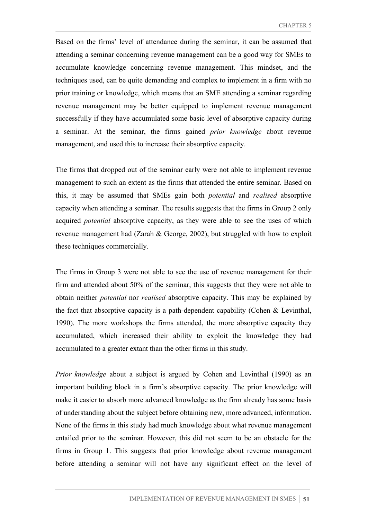Based on the firms' level of attendance during the seminar, it can be assumed that attending a seminar concerning revenue management can be a good way for SMEs to accumulate knowledge concerning revenue management. This mindset, and the techniques used, can be quite demanding and complex to implement in a firm with no prior training or knowledge, which means that an SME attending a seminar regarding revenue management may be better equipped to implement revenue management successfully if they have accumulated some basic level of absorptive capacity during a seminar. At the seminar, the firms gained *prior knowledge* about revenue management, and used this to increase their absorptive capacity.

The firms that dropped out of the seminar early were not able to implement revenue management to such an extent as the firms that attended the entire seminar. Based on this, it may be assumed that SMEs gain both *potential* and *realised* absorptive capacity when attending a seminar. The results suggests that the firms in Group 2 only acquired *potential* absorptive capacity, as they were able to see the uses of which revenue management had (Zarah & George, 2002), but struggled with how to exploit these techniques commercially.

The firms in Group 3 were not able to see the use of revenue management for their firm and attended about 50% of the seminar, this suggests that they were not able to obtain neither *potential* nor *realised* absorptive capacity. This may be explained by the fact that absorptive capacity is a path-dependent capability (Cohen  $&$  Levinthal, 1990). The more workshops the firms attended, the more absorptive capacity they accumulated, which increased their ability to exploit the knowledge they had accumulated to a greater extant than the other firms in this study.

*Prior knowledge* about a subject is argued by Cohen and Levinthal (1990) as an important building block in a firm's absorptive capacity. The prior knowledge will make it easier to absorb more advanced knowledge as the firm already has some basis of understanding about the subject before obtaining new, more advanced, information. None of the firms in this study had much knowledge about what revenue management entailed prior to the seminar. However, this did not seem to be an obstacle for the firms in Group 1. This suggests that prior knowledge about revenue management before attending a seminar will not have any significant effect on the level of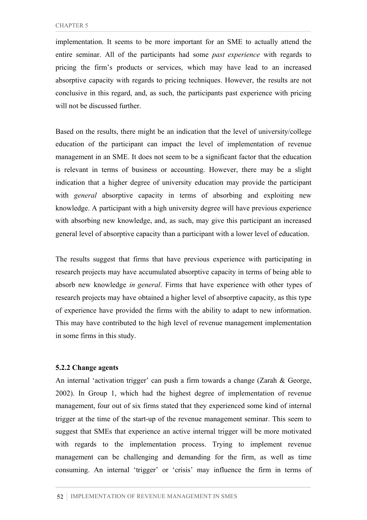implementation. It seems to be more important for an SME to actually attend the entire seminar. All of the participants had some *past experience* with regards to pricing the firm's products or services, which may have lead to an increased absorptive capacity with regards to pricing techniques. However, the results are not conclusive in this regard, and, as such, the participants past experience with pricing will not be discussed further.

Based on the results, there might be an indication that the level of university/college education of the participant can impact the level of implementation of revenue management in an SME. It does not seem to be a significant factor that the education is relevant in terms of business or accounting. However, there may be a slight indication that a higher degree of university education may provide the participant with *general* absorptive capacity in terms of absorbing and exploiting new knowledge. A participant with a high university degree will have previous experience with absorbing new knowledge, and, as such, may give this participant an increased general level of absorptive capacity than a participant with a lower level of education.

The results suggest that firms that have previous experience with participating in research projects may have accumulated absorptive capacity in terms of being able to absorb new knowledge *in general*. Firms that have experience with other types of research projects may have obtained a higher level of absorptive capacity, as this type of experience have provided the firms with the ability to adapt to new information. This may have contributed to the high level of revenue management implementation in some firms in this study.

#### **5.2.2 Change agents**

An internal 'activation trigger' can push a firm towards a change (Zarah & George, 2002). In Group 1, which had the highest degree of implementation of revenue management, four out of six firms stated that they experienced some kind of internal trigger at the time of the start-up of the revenue management seminar. This seem to suggest that SMEs that experience an active internal trigger will be more motivated with regards to the implementation process. Trying to implement revenue management can be challenging and demanding for the firm, as well as time consuming. An internal 'trigger' or 'crisis' may influence the firm in terms of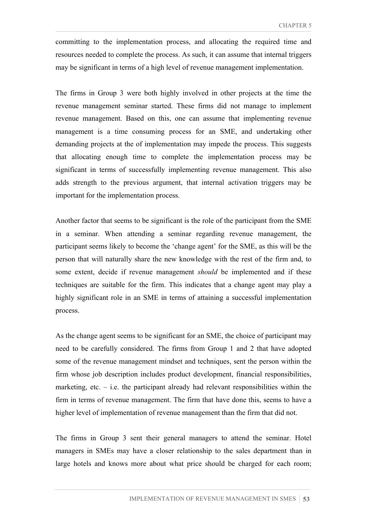committing to the implementation process, and allocating the required time and resources needed to complete the process. As such, it can assume that internal triggers may be significant in terms of a high level of revenue management implementation.

The firms in Group 3 were both highly involved in other projects at the time the revenue management seminar started. These firms did not manage to implement revenue management. Based on this, one can assume that implementing revenue management is a time consuming process for an SME, and undertaking other demanding projects at the of implementation may impede the process. This suggests that allocating enough time to complete the implementation process may be significant in terms of successfully implementing revenue management. This also adds strength to the previous argument, that internal activation triggers may be important for the implementation process.

Another factor that seems to be significant is the role of the participant from the SME in a seminar. When attending a seminar regarding revenue management, the participant seems likely to become the 'change agent' for the SME, as this will be the person that will naturally share the new knowledge with the rest of the firm and, to some extent, decide if revenue management *should* be implemented and if these techniques are suitable for the firm. This indicates that a change agent may play a highly significant role in an SME in terms of attaining a successful implementation process.

As the change agent seems to be significant for an SME, the choice of participant may need to be carefully considered. The firms from Group 1 and 2 that have adopted some of the revenue management mindset and techniques, sent the person within the firm whose job description includes product development, financial responsibilities, marketing, etc.  $-$  i.e. the participant already had relevant responsibilities within the firm in terms of revenue management. The firm that have done this, seems to have a higher level of implementation of revenue management than the firm that did not.

The firms in Group 3 sent their general managers to attend the seminar. Hotel managers in SMEs may have a closer relationship to the sales department than in large hotels and knows more about what price should be charged for each room;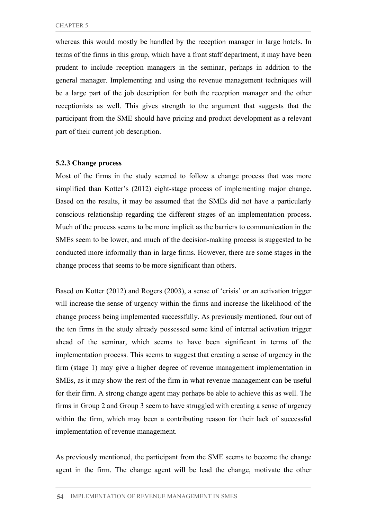whereas this would mostly be handled by the reception manager in large hotels. In terms of the firms in this group, which have a front staff department, it may have been prudent to include reception managers in the seminar, perhaps in addition to the general manager. Implementing and using the revenue management techniques will be a large part of the job description for both the reception manager and the other receptionists as well. This gives strength to the argument that suggests that the participant from the SME should have pricing and product development as a relevant part of their current job description.

#### **5.2.3 Change process**

Most of the firms in the study seemed to follow a change process that was more simplified than Kotter's (2012) eight-stage process of implementing major change. Based on the results, it may be assumed that the SMEs did not have a particularly conscious relationship regarding the different stages of an implementation process. Much of the process seems to be more implicit as the barriers to communication in the SMEs seem to be lower, and much of the decision-making process is suggested to be conducted more informally than in large firms. However, there are some stages in the change process that seems to be more significant than others.

Based on Kotter (2012) and Rogers (2003), a sense of 'crisis' or an activation trigger will increase the sense of urgency within the firms and increase the likelihood of the change process being implemented successfully. As previously mentioned, four out of the ten firms in the study already possessed some kind of internal activation trigger ahead of the seminar, which seems to have been significant in terms of the implementation process. This seems to suggest that creating a sense of urgency in the firm (stage 1) may give a higher degree of revenue management implementation in SMEs, as it may show the rest of the firm in what revenue management can be useful for their firm. A strong change agent may perhaps be able to achieve this as well. The firms in Group 2 and Group 3 seem to have struggled with creating a sense of urgency within the firm, which may been a contributing reason for their lack of successful implementation of revenue management.

As previously mentioned, the participant from the SME seems to become the change agent in the firm. The change agent will be lead the change, motivate the other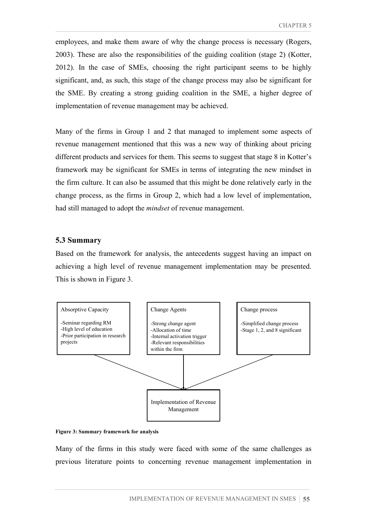employees, and make them aware of why the change process is necessary (Rogers, 2003). These are also the responsibilities of the guiding coalition (stage 2) (Kotter, 2012). In the case of SMEs, choosing the right participant seems to be highly significant, and, as such, this stage of the change process may also be significant for the SME. By creating a strong guiding coalition in the SME, a higher degree of implementation of revenue management may be achieved.

Many of the firms in Group 1 and 2 that managed to implement some aspects of revenue management mentioned that this was a new way of thinking about pricing different products and services for them. This seems to suggest that stage 8 in Kotter's framework may be significant for SMEs in terms of integrating the new mindset in the firm culture. It can also be assumed that this might be done relatively early in the change process, as the firms in Group 2, which had a low level of implementation, had still managed to adopt the *mindset* of revenue management.

#### **5.3 Summary**

Based on the framework for analysis, the antecedents suggest having an impact on achieving a high level of revenue management implementation may be presented. This is shown in Figure 3.





Many of the firms in this study were faced with some of the same challenges as previous literature points to concerning revenue management implementation in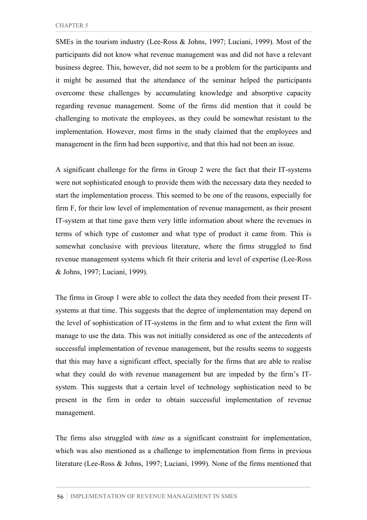SMEs in the tourism industry (Lee-Ross & Johns, 1997; Luciani, 1999). Most of the participants did not know what revenue management was and did not have a relevant business degree. This, however, did not seem to be a problem for the participants and it might be assumed that the attendance of the seminar helped the participants overcome these challenges by accumulating knowledge and absorptive capacity regarding revenue management. Some of the firms did mention that it could be challenging to motivate the employees, as they could be somewhat resistant to the implementation. However, most firms in the study claimed that the employees and management in the firm had been supportive, and that this had not been an issue.

A significant challenge for the firms in Group 2 were the fact that their IT-systems were not sophisticated enough to provide them with the necessary data they needed to start the implementation process. This seemed to be one of the reasons, especially for firm F, for their low level of implementation of revenue management, as their present IT-system at that time gave them very little information about where the revenues in terms of which type of customer and what type of product it came from. This is somewhat conclusive with previous literature, where the firms struggled to find revenue management systems which fit their criteria and level of expertise (Lee-Ross & Johns, 1997; Luciani, 1999).

The firms in Group 1 were able to collect the data they needed from their present ITsystems at that time. This suggests that the degree of implementation may depend on the level of sophistication of IT-systems in the firm and to what extent the firm will manage to use the data. This was not initially considered as one of the antecedents of successful implementation of revenue management, but the results seems to suggests that this may have a significant effect, specially for the firms that are able to realise what they could do with revenue management but are impeded by the firm's ITsystem. This suggests that a certain level of technology sophistication need to be present in the firm in order to obtain successful implementation of revenue management.

The firms also struggled with *time* as a significant constraint for implementation, which was also mentioned as a challenge to implementation from firms in previous literature (Lee-Ross & Johns, 1997; Luciani, 1999). None of the firms mentioned that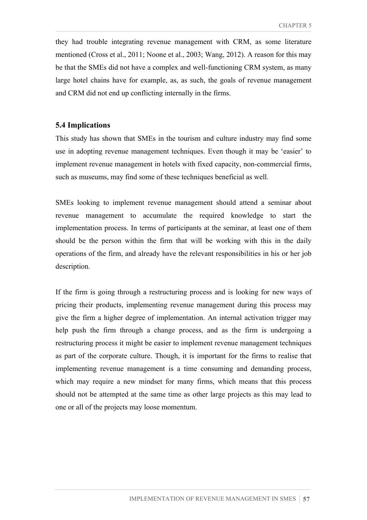they had trouble integrating revenue management with CRM, as some literature mentioned (Cross et al., 2011; Noone et al., 2003; Wang, 2012). A reason for this may be that the SMEs did not have a complex and well-functioning CRM system, as many large hotel chains have for example, as, as such, the goals of revenue management and CRM did not end up conflicting internally in the firms.

## **5.4 Implications**

This study has shown that SMEs in the tourism and culture industry may find some use in adopting revenue management techniques. Even though it may be 'easier' to implement revenue management in hotels with fixed capacity, non-commercial firms, such as museums, may find some of these techniques beneficial as well.

SMEs looking to implement revenue management should attend a seminar about revenue management to accumulate the required knowledge to start the implementation process. In terms of participants at the seminar, at least one of them should be the person within the firm that will be working with this in the daily operations of the firm, and already have the relevant responsibilities in his or her job description.

If the firm is going through a restructuring process and is looking for new ways of pricing their products, implementing revenue management during this process may give the firm a higher degree of implementation. An internal activation trigger may help push the firm through a change process, and as the firm is undergoing a restructuring process it might be easier to implement revenue management techniques as part of the corporate culture. Though, it is important for the firms to realise that implementing revenue management is a time consuming and demanding process, which may require a new mindset for many firms, which means that this process should not be attempted at the same time as other large projects as this may lead to one or all of the projects may loose momentum.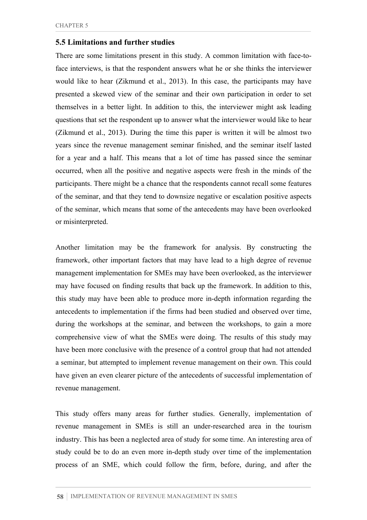## **5.5 Limitations and further studies**

There are some limitations present in this study. A common limitation with face-toface interviews, is that the respondent answers what he or she thinks the interviewer would like to hear (Zikmund et al., 2013). In this case, the participants may have presented a skewed view of the seminar and their own participation in order to set themselves in a better light. In addition to this, the interviewer might ask leading questions that set the respondent up to answer what the interviewer would like to hear (Zikmund et al., 2013). During the time this paper is written it will be almost two years since the revenue management seminar finished, and the seminar itself lasted for a year and a half. This means that a lot of time has passed since the seminar occurred, when all the positive and negative aspects were fresh in the minds of the participants. There might be a chance that the respondents cannot recall some features of the seminar, and that they tend to downsize negative or escalation positive aspects of the seminar, which means that some of the antecedents may have been overlooked or misinterpreted.

Another limitation may be the framework for analysis. By constructing the framework, other important factors that may have lead to a high degree of revenue management implementation for SMEs may have been overlooked, as the interviewer may have focused on finding results that back up the framework. In addition to this, this study may have been able to produce more in-depth information regarding the antecedents to implementation if the firms had been studied and observed over time, during the workshops at the seminar, and between the workshops, to gain a more comprehensive view of what the SMEs were doing. The results of this study may have been more conclusive with the presence of a control group that had not attended a seminar, but attempted to implement revenue management on their own. This could have given an even clearer picture of the antecedents of successful implementation of revenue management.

This study offers many areas for further studies. Generally, implementation of revenue management in SMEs is still an under-researched area in the tourism industry. This has been a neglected area of study for some time. An interesting area of study could be to do an even more in-depth study over time of the implementation process of an SME, which could follow the firm, before, during, and after the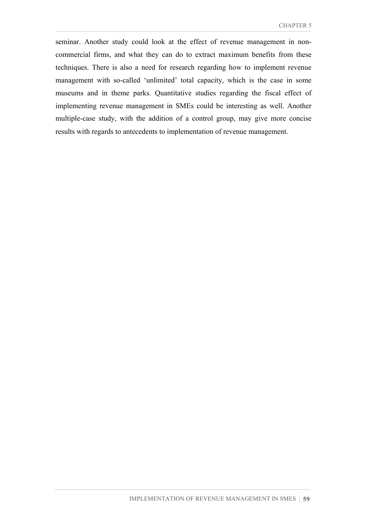seminar. Another study could look at the effect of revenue management in noncommercial firms, and what they can do to extract maximum benefits from these techniques. There is also a need for research regarding how to implement revenue management with so-called 'unlimited' total capacity, which is the case in some museums and in theme parks. Quantitative studies regarding the fiscal effect of implementing revenue management in SMEs could be interesting as well. Another multiple-case study, with the addition of a control group, may give more concise results with regards to antecedents to implementation of revenue management.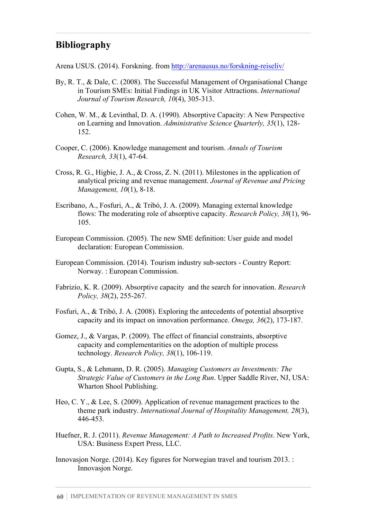# **Bibliography**

Arena USUS. (2014). Forskning. from http://arenausus.no/forskning-reiseliv/

- By, R. T., & Dale, C. (2008). The Successful Management of Organisational Change in Tourism SMEs: Initial Findings in UK Visitor Attractions. *International Journal of Tourism Research, 10*(4), 305-313.
- Cohen, W. M., & Levinthal, D. A. (1990). Absorptive Capacity: A New Perspective on Learning and Innovation. *Administrative Science Quarterly, 35*(1), 128- 152.
- Cooper, C. (2006). Knowledge management and tourism. *Annals of Tourism Research, 33*(1), 47-64.
- Cross, R. G., Higbie, J. A., & Cross, Z. N. (2011). Milestones in the application of analytical pricing and revenue management. *Journal of Revenue and Pricing Management, 10*(1), 8-18.
- Escribano, A., Fosfuri, A., & Tribó, J. A. (2009). Managing external knowledge flows: The moderating role of absorptive capacity. *Research Policy, 38*(1), 96- 105.
- European Commission. (2005). The new SME definition: User guide and model declaration: European Commission.
- European Commission. (2014). Tourism industry sub-sectors Country Report: Norway. : European Commission.
- Fabrizio, K. R. (2009). Absorptive capacity and the search for innovation. *Research Policy, 38*(2), 255-267.
- Fosfuri, A., & Tribó, J. A. (2008). Exploring the antecedents of potential absorptive capacity and its impact on innovation performance. *Omega, 36*(2), 173-187.
- Gomez, J., & Vargas, P. (2009). The effect of financial constraints, absorptive capacity and complementarities on the adoption of multiple process technology. *Research Policy, 38*(1), 106-119.
- Gupta, S., & Lehmann, D. R. (2005). *Managing Customers as Investments: The Strategic Value of Customers in the Long Run*. Upper Saddle River, NJ, USA: Wharton Shool Publishing.
- Heo, C. Y., & Lee, S. (2009). Application of revenue management practices to the theme park industry. *International Journal of Hospitality Management, 28*(3), 446-453.
- Huefner, R. J. (2011). *Revenue Management: A Path to Increased Profits*. New York, USA: Business Expert Press, LLC.
- Innovasjon Norge. (2014). Key figures for Norwegian travel and tourism 2013. : Innovasjon Norge.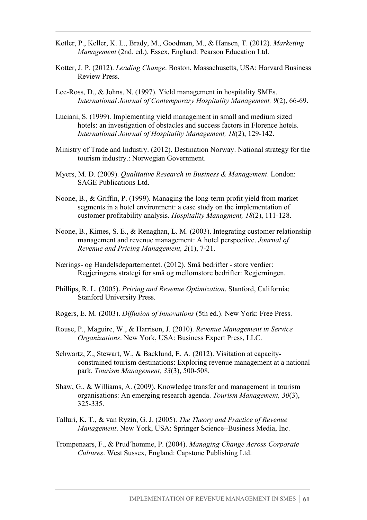- Kotler, P., Keller, K. L., Brady, M., Goodman, M., & Hansen, T. (2012). *Marketing Management* (2nd. ed.). Essex, England: Pearson Education Ltd.
- Kotter, J. P. (2012). *Leading Change*. Boston, Massachusetts, USA: Harvard Business Review Press.
- Lee-Ross, D., & Johns, N. (1997). Yield management in hospitality SMEs. *International Journal of Contemporary Hospitality Management, 9*(2), 66-69.
- Luciani, S. (1999). Implementing yield management in small and medium sized hotels: an investigation of obstacles and success factors in Florence hotels. *International Journal of Hospitality Management, 18*(2), 129-142.
- Ministry of Trade and Industry. (2012). Destination Norway. National strategy for the tourism industry.: Norwegian Government.
- Myers, M. D. (2009). *Qualitative Research in Business & Management*. London: SAGE Publications Ltd.
- Noone, B., & Griffin, P. (1999). Managing the long-term profit yield from market segments in a hotel environment: a case study on the implementation of customer profitability analysis. *Hospitality Managment, 18*(2), 111-128.
- Noone, B., Kimes, S. E., & Renaghan, L. M. (2003). Integrating customer relationship management and revenue management: A hotel perspective. *Journal of Revenue and Pricing Management, 2*(1), 7-21.
- Nærings- og Handelsdepartementet. (2012). Små bedrifter store verdier: Regjeringens strategi for små og mellomstore bedrifter: Regjerningen.
- Phillips, R. L. (2005). *Pricing and Revenue Optimization*. Stanford, California: Stanford University Press.
- Rogers, E. M. (2003). *Diffusion of Innovations* (5th ed.). New York: Free Press.
- Rouse, P., Maguire, W., & Harrison, J. (2010). *Revenue Management in Service Organizations*. New York, USA: Business Expert Press, LLC.
- Schwartz, Z., Stewart, W., & Backlund, E. A. (2012). Visitation at capacityconstrained tourism destinations: Exploring revenue management at a national park. *Tourism Management, 33*(3), 500-508.
- Shaw, G., & Williams, A. (2009). Knowledge transfer and management in tourism organisations: An emerging research agenda. *Tourism Management, 30*(3), 325-335.
- Talluri, K. T., & van Ryzin, G. J. (2005). *The Theory and Practice of Revenue Management*. New York, USA: Springer Science+Business Media, Inc.
- Trompenaars, F., & Prud´homme, P. (2004). *Managing Change Across Corporate Cultures*. West Sussex, England: Capstone Publishing Ltd.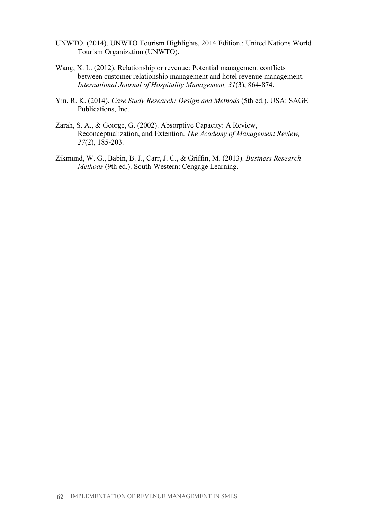- UNWTO. (2014). UNWTO Tourism Highlights, 2014 Edition.: United Nations World Tourism Organization (UNWTO).
- Wang, X. L. (2012). Relationship or revenue: Potential management conflicts between customer relationship management and hotel revenue management. *International Journal of Hospitality Management, 31*(3), 864-874.
- Yin, R. K. (2014). *Case Study Research: Design and Methods* (5th ed.). USA: SAGE Publications, Inc.
- Zarah, S. A., & George, G. (2002). Absorptive Capacity: A Review, Reconceptualization, and Extention. *The Academy of Management Review, 27*(2), 185-203.
- Zikmund, W. G., Babin, B. J., Carr, J. C., & Griffin, M. (2013). *Business Research Methods* (9th ed.). South-Western: Cengage Learning.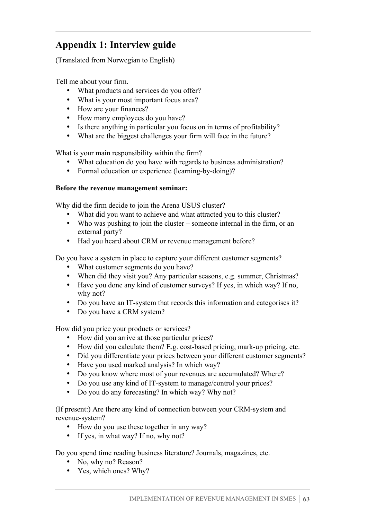# **Appendix 1: Interview guide**

(Translated from Norwegian to English)

Tell me about your firm.

- What products and services do you offer?
- What is your most important focus area?
- How are your finances?
- How many employees do you have?
- Is there anything in particular you focus on in terms of profitability?
- What are the biggest challenges your firm will face in the future?

What is your main responsibility within the firm?

- What education do you have with regards to business administration?
- Formal education or experience (learning-by-doing)?

## **Before the revenue management seminar:**

Why did the firm decide to join the Arena USUS cluster?

- What did you want to achieve and what attracted you to this cluster?
- Who was pushing to join the cluster someone internal in the firm, or an external party?
- Had you heard about CRM or revenue management before?

Do you have a system in place to capture your different customer segments?

- What customer segments do you have?
- When did they visit you? Any particular seasons, e.g. summer, Christmas?
- Have you done any kind of customer surveys? If yes, in which way? If no, why not?
- Do you have an IT-system that records this information and categorises it?
- Do you have a CRM system?

How did you price your products or services?

- How did you arrive at those particular prices?
- How did you calculate them? E.g. cost-based pricing, mark-up pricing, etc.
- Did you differentiate your prices between your different customer segments?
- Have you used marked analysis? In which way?
- Do you know where most of your revenues are accumulated? Where?
- Do you use any kind of IT-system to manage/control your prices?
- Do you do any forecasting? In which way? Why not?

(If present:) Are there any kind of connection between your CRM-system and revenue-system?

- How do you use these together in any way?
- If yes, in what way? If no, why not?

Do you spend time reading business literature? Journals, magazines, etc.

- No, why no? Reason?
- Yes, which ones? Why?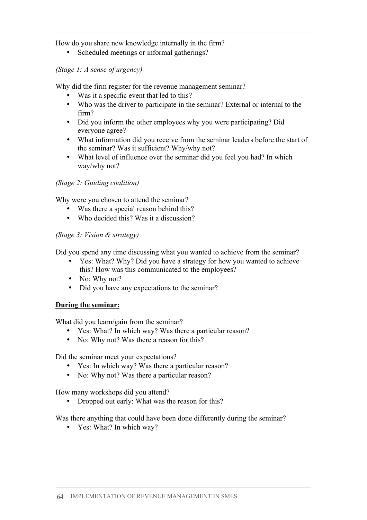# How do you share new knowledge internally in the firm?

• Scheduled meetings or informal gatherings?

# *(Stage 1: A sense of urgency)*

Why did the firm register for the revenue management seminar?

- Was it a specific event that led to this?
- Who was the driver to participate in the seminar? External or internal to the firm?
- Did you inform the other employees why you were participating? Did everyone agree?
- What information did you receive from the seminar leaders before the start of the seminar? Was it sufficient? Why/why not?
- What level of influence over the seminar did you feel you had? In which way/why not?

# *(Stage 2: Guiding coalition)*

Why were you chosen to attend the seminar?

- Was there a special reason behind this?
- Who decided this? Was it a discussion?

# *(Stage 3: Vision & strategy)*

Did you spend any time discussing what you wanted to achieve from the seminar?

- Yes: What? Why? Did you have a strategy for how you wanted to achieve this? How was this communicated to the employees?
- No: Why not?
- Did you have any expectations to the seminar?

## **During the seminar:**

What did you learn/gain from the seminar?

- Yes: What? In which way? Was there a particular reason?
- No: Why not? Was there a reason for this?

Did the seminar meet your expectations?

- Yes: In which way? Was there a particular reason?
- No: Why not? Was there a particular reason?

How many workshops did you attend?

• Dropped out early: What was the reason for this?

Was there anything that could have been done differently during the seminar?

• Yes: What? In which way?